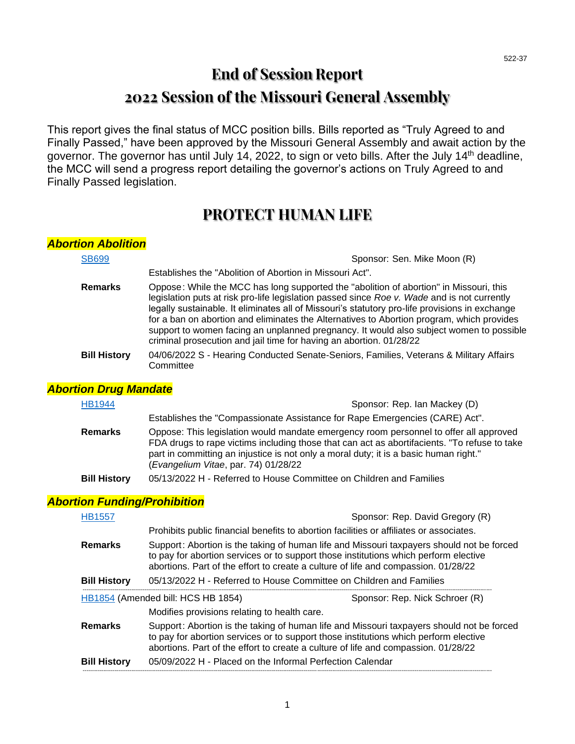# **End of Session Report 2022 Session of the Missouri General Assembly**

This report gives the final status of MCC position bills. Bills reported as "Truly Agreed to and Finally Passed," have been approved by the Missouri General Assembly and await action by the governor. The governor has until July 14, 2022, to sign or veto bills. After the July 14<sup>th</sup> deadline, the MCC will send a progress report detailing the governor's actions on Truly Agreed to and Finally Passed legislation.

## **PROTECT HUMAN LIFE**

| <b>Abortion Abolition</b>           |                                                                                                                                                                                                                                                                                                                                                                                                                                                                                                                                                        |
|-------------------------------------|--------------------------------------------------------------------------------------------------------------------------------------------------------------------------------------------------------------------------------------------------------------------------------------------------------------------------------------------------------------------------------------------------------------------------------------------------------------------------------------------------------------------------------------------------------|
| <b>SB699</b>                        | Sponsor: Sen. Mike Moon (R)                                                                                                                                                                                                                                                                                                                                                                                                                                                                                                                            |
|                                     | Establishes the "Abolition of Abortion in Missouri Act".                                                                                                                                                                                                                                                                                                                                                                                                                                                                                               |
| <b>Remarks</b>                      | Oppose: While the MCC has long supported the "abolition of abortion" in Missouri, this<br>legislation puts at risk pro-life legislation passed since Roe v. Wade and is not currently<br>legally sustainable. It eliminates all of Missouri's statutory pro-life provisions in exchange<br>for a ban on abortion and eliminates the Alternatives to Abortion program, which provides<br>support to women facing an unplanned pregnancy. It would also subject women to possible<br>criminal prosecution and jail time for having an abortion. 01/28/22 |
| <b>Bill History</b>                 | 04/06/2022 S - Hearing Conducted Senate-Seniors, Families, Veterans & Military Affairs<br>Committee                                                                                                                                                                                                                                                                                                                                                                                                                                                    |
| <b>Abortion Drug Mandate</b>        |                                                                                                                                                                                                                                                                                                                                                                                                                                                                                                                                                        |
| <b>HB1944</b>                       | Sponsor: Rep. Ian Mackey (D)                                                                                                                                                                                                                                                                                                                                                                                                                                                                                                                           |
|                                     | Establishes the "Compassionate Assistance for Rape Emergencies (CARE) Act".                                                                                                                                                                                                                                                                                                                                                                                                                                                                            |
| <b>Remarks</b>                      | Oppose: This legislation would mandate emergency room personnel to offer all approved<br>FDA drugs to rape victims including those that can act as abortifacients. "To refuse to take<br>part in committing an injustice is not only a moral duty; it is a basic human right."<br>(Evangelium Vitae, par. 74) 01/28/22                                                                                                                                                                                                                                 |
| <b>Bill History</b>                 | 05/13/2022 H - Referred to House Committee on Children and Families                                                                                                                                                                                                                                                                                                                                                                                                                                                                                    |
| <b>Abortion Funding/Prohibition</b> |                                                                                                                                                                                                                                                                                                                                                                                                                                                                                                                                                        |
| <b>HB1557</b>                       | Sponsor: Rep. David Gregory (R)                                                                                                                                                                                                                                                                                                                                                                                                                                                                                                                        |
|                                     | Prohibits public financial benefits to abortion facilities or affiliates or associates.                                                                                                                                                                                                                                                                                                                                                                                                                                                                |
| <b>Remarks</b>                      | Support: Abortion is the taking of human life and Missouri taxpayers should not be forced<br>to pay for abortion services or to support those institutions which perform elective<br>abortions. Part of the effort to create a culture of life and compassion. 01/28/22                                                                                                                                                                                                                                                                                |
| <b>Bill History</b>                 | 05/13/2022 H - Referred to House Committee on Children and Families                                                                                                                                                                                                                                                                                                                                                                                                                                                                                    |
|                                     | Sponsor: Rep. Nick Schroer (R)<br>HB1854 (Amended bill: HCS HB 1854)                                                                                                                                                                                                                                                                                                                                                                                                                                                                                   |
|                                     | Modifies provisions relating to health care.                                                                                                                                                                                                                                                                                                                                                                                                                                                                                                           |
| <b>Remarks</b>                      | Support: Abortion is the taking of human life and Missouri taxpayers should not be forced<br>to pay for abortion services or to support those institutions which perform elective<br>abortions. Part of the effort to create a culture of life and compassion. 01/28/22                                                                                                                                                                                                                                                                                |
| <b>Bill History</b>                 | 05/09/2022 H - Placed on the Informal Perfection Calendar                                                                                                                                                                                                                                                                                                                                                                                                                                                                                              |

--------------------------------------------------------------------------------------------------------------------------------------------------------------------------------------------------------------------------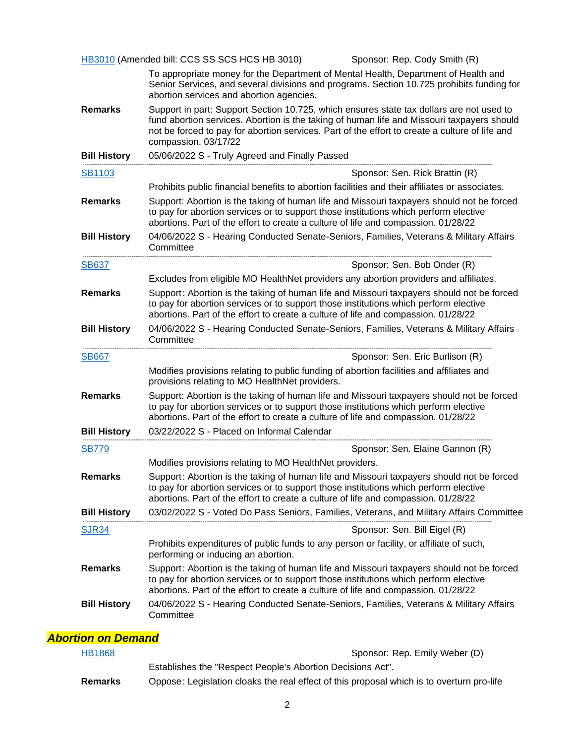|                     | HB3010 (Amended bill: CCS SS SCS HCS HB 3010)<br>Sponsor: Rep. Cody Smith (R)                                                                                                                                                                                                                                    |
|---------------------|------------------------------------------------------------------------------------------------------------------------------------------------------------------------------------------------------------------------------------------------------------------------------------------------------------------|
|                     | To appropriate money for the Department of Mental Health, Department of Health and<br>Senior Services, and several divisions and programs. Section 10.725 prohibits funding for<br>abortion services and abortion agencies.                                                                                      |
| <b>Remarks</b>      | Support in part: Support Section 10.725, which ensures state tax dollars are not used to<br>fund abortion services. Abortion is the taking of human life and Missouri taxpayers should<br>not be forced to pay for abortion services. Part of the effort to create a culture of life and<br>compassion. 03/17/22 |
| <b>Bill History</b> | 05/06/2022 S - Truly Agreed and Finally Passed                                                                                                                                                                                                                                                                   |
| <b>SB1103</b>       | Sponsor: Sen. Rick Brattin (R)                                                                                                                                                                                                                                                                                   |
|                     | Prohibits public financial benefits to abortion facilities and their affiliates or associates.                                                                                                                                                                                                                   |
| <b>Remarks</b>      | Support: Abortion is the taking of human life and Missouri taxpayers should not be forced<br>to pay for abortion services or to support those institutions which perform elective<br>abortions. Part of the effort to create a culture of life and compassion. 01/28/22                                          |
| <b>Bill History</b> | 04/06/2022 S - Hearing Conducted Senate-Seniors, Families, Veterans & Military Affairs<br>Committee                                                                                                                                                                                                              |
| <b>SB637</b>        | Sponsor: Sen. Bob Onder (R)                                                                                                                                                                                                                                                                                      |
|                     | Excludes from eligible MO HealthNet providers any abortion providers and affiliates.                                                                                                                                                                                                                             |
| <b>Remarks</b>      | Support: Abortion is the taking of human life and Missouri taxpayers should not be forced<br>to pay for abortion services or to support those institutions which perform elective<br>abortions. Part of the effort to create a culture of life and compassion. 01/28/22                                          |
| <b>Bill History</b> | 04/06/2022 S - Hearing Conducted Senate-Seniors, Families, Veterans & Military Affairs<br>Committee                                                                                                                                                                                                              |
| <b>SB667</b>        | Sponsor: Sen. Eric Burlison (R)                                                                                                                                                                                                                                                                                  |
|                     | Modifies provisions relating to public funding of abortion facilities and affiliates and                                                                                                                                                                                                                         |
|                     | provisions relating to MO HealthNet providers.                                                                                                                                                                                                                                                                   |
| <b>Remarks</b>      | Support: Abortion is the taking of human life and Missouri taxpayers should not be forced<br>to pay for abortion services or to support those institutions which perform elective<br>abortions. Part of the effort to create a culture of life and compassion. 01/28/22                                          |
| <b>Bill History</b> | 03/22/2022 S - Placed on Informal Calendar                                                                                                                                                                                                                                                                       |
| <b>SB779</b>        | Sponsor: Sen. Elaine Gannon (R)                                                                                                                                                                                                                                                                                  |
|                     | Modifies provisions relating to MO HealthNet providers.                                                                                                                                                                                                                                                          |
| <b>Remarks</b>      | Support: Abortion is the taking of human life and Missouri taxpayers should not be forced<br>to pay for abortion services or to support those institutions which perform elective<br>abortions. Part of the effort to create a culture of life and compassion. 01/28/22                                          |
| <b>Bill History</b> | 03/02/2022 S - Voted Do Pass Seniors, Families, Veterans, and Military Affairs Committee                                                                                                                                                                                                                         |
| <b>SJR34</b>        | Sponsor: Sen. Bill Eigel (R)                                                                                                                                                                                                                                                                                     |
|                     | Prohibits expenditures of public funds to any person or facility, or affiliate of such,<br>performing or inducing an abortion.                                                                                                                                                                                   |
| <b>Remarks</b>      | Support: Abortion is the taking of human life and Missouri taxpayers should not be forced<br>to pay for abortion services or to support those institutions which perform elective<br>abortions. Part of the effort to create a culture of life and compassion. 01/28/22                                          |

| HB1868  | Sponsor: Rep. Emily Weber (D)                                                             |
|---------|-------------------------------------------------------------------------------------------|
|         | Establishes the "Respect People's Abortion Decisions Act".                                |
| Remarks | Oppose: Legislation cloaks the real effect of this proposal which is to overturn pro-life |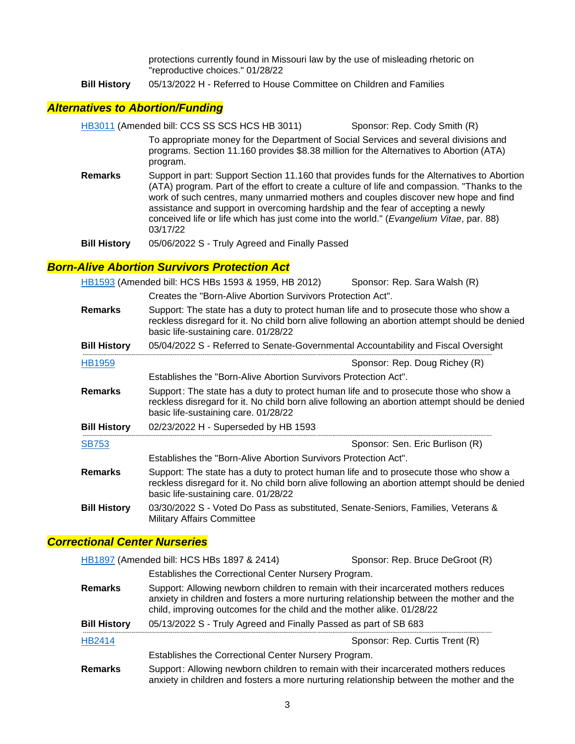protections currently found in Missouri law by the use of misleading rhetoric on "reproductive choices." 01/28/22

**Bill History** 05/13/2022 H - Referred to House Committee on Children and Families

#### *Alternatives to Abortion/Funding*

[HB3011](https://house.mo.gov/Bill.aspx?bill=HB3011&year=2022&code=R) (Amended bill: CCS SS SCS HCS HB 3011) Sponsor: Rep. Cody Smith (R) To appropriate money for the Department of Social Services and several divisions and programs. Section 11.160 provides \$8.38 million for the Alternatives to Abortion (ATA) program.

- **Remarks** Support in part: Support Section 11.160 that provides funds for the Alternatives to Abortion (ATA) program. Part of the effort to create a culture of life and compassion. "Thanks to the work of such centres, many unmarried mothers and couples discover new hope and find assistance and support in overcoming hardship and the fear of accepting a newly conceived life or life which has just come into the world." (*Evangelium Vitae*, par. 88) 03/17/22
- **Bill History** 05/06/2022 S Truly Agreed and Finally Passed

#### *Born-Alive Abortion Survivors Protection Act*

[HB1593](https://house.mo.gov/Bill.aspx?bill=HB1593&year=2022&code=R) (Amended bill: HCS HBs 1593 & 1959, HB 2012) Sponsor: Rep. Sara Walsh (R)

Creates the "Born-Alive Abortion Survivors Protection Act".

| <b>Remarks</b>      | Support: The state has a duty to protect human life and to prosecute those who show a<br>reckless disregard for it. No child born alive following an abortion attempt should be denied<br>basic life-sustaining care. 01/28/22 |
|---------------------|--------------------------------------------------------------------------------------------------------------------------------------------------------------------------------------------------------------------------------|
| <b>Bill History</b> | 05/04/2022 S - Referred to Senate-Governmental Accountability and Fiscal Oversight                                                                                                                                             |
| <b>HB1959</b>       | Sponsor: Rep. Doug Richey (R)                                                                                                                                                                                                  |
|                     | Establishes the "Born-Alive Abortion Survivors Protection Act".                                                                                                                                                                |
| <b>Remarks</b>      | Support: The state has a duty to protect human life and to prosecute those who show a<br>reckless disregard for it. No child born alive following an abortion attempt should be denied<br>basic life-sustaining care. 01/28/22 |
| <b>Bill History</b> | 02/23/2022 H - Superseded by HB 1593                                                                                                                                                                                           |
| <b>SB753</b>        | Sponsor: Sen. Eric Burlison (R)                                                                                                                                                                                                |
|                     | Establishes the "Born-Alive Abortion Survivors Protection Act".                                                                                                                                                                |
| <b>Remarks</b>      | Support: The state has a duty to protect human life and to prosecute those who show a<br>reckless disregard for it. No child born alive following an abortion attempt should be denied<br>basic life-sustaining care. 01/28/22 |
| <b>Bill History</b> | 03/30/2022 S - Voted Do Pass as substituted, Senate-Seniors, Families, Veterans &<br><b>Military Affairs Committee</b>                                                                                                         |

#### *Correctional Center Nurseries*

|                     | HB1897 (Amended bill: HCS HBs 1897 & 2414)                             | Sponsor: Rep. Bruce DeGroot (R)                                                                                                                                                  |
|---------------------|------------------------------------------------------------------------|----------------------------------------------------------------------------------------------------------------------------------------------------------------------------------|
|                     | Establishes the Correctional Center Nursery Program.                   |                                                                                                                                                                                  |
| <b>Remarks</b>      | child, improving outcomes for the child and the mother alike. 01/28/22 | Support: Allowing newborn children to remain with their incarcerated mothers reduces<br>anxiety in children and fosters a more nurturing relationship between the mother and the |
| <b>Bill History</b> | 05/13/2022 S - Truly Agreed and Finally Passed as part of SB 683       |                                                                                                                                                                                  |
| HB2414              |                                                                        | Sponsor: Rep. Curtis Trent (R)                                                                                                                                                   |
|                     | Establishes the Correctional Center Nursery Program.                   |                                                                                                                                                                                  |
| <b>Remarks</b>      |                                                                        | Support: Allowing newborn children to remain with their incarcerated mothers reduces<br>anxiety in children and fosters a more nurturing relationship between the mother and the |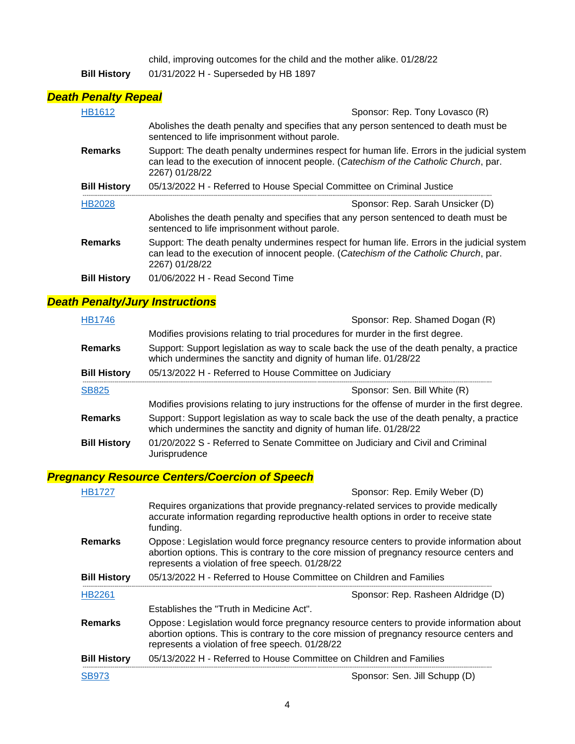child, improving outcomes for the child and the mother alike. 01/28/22

**Bill History** 01/31/2022 H - Superseded by HB 1897

### *Death Penalty Repeal*

| <b>HB1612</b>       | Sponsor: Rep. Tony Lovasco (R)                                                                                                                                                                         |
|---------------------|--------------------------------------------------------------------------------------------------------------------------------------------------------------------------------------------------------|
|                     | Abolishes the death penalty and specifies that any person sentenced to death must be<br>sentenced to life imprisonment without parole.                                                                 |
| <b>Remarks</b>      | Support: The death penalty undermines respect for human life. Errors in the judicial system<br>can lead to the execution of innocent people. (Catechism of the Catholic Church, par.<br>2267) 01/28/22 |
| <b>Bill History</b> | 05/13/2022 H - Referred to House Special Committee on Criminal Justice                                                                                                                                 |
| <b>HB2028</b>       | Sponsor: Rep. Sarah Unsicker (D)                                                                                                                                                                       |
|                     | Abolishes the death penalty and specifies that any person sentenced to death must be<br>sentenced to life imprisonment without parole.                                                                 |
| <b>Remarks</b>      | Support: The death penalty undermines respect for human life. Errors in the judicial system<br>can lead to the execution of innocent people. (Catechism of the Catholic Church, par.<br>2267) 01/28/22 |
| <b>Bill History</b> | 01/06/2022 H - Read Second Time                                                                                                                                                                        |

## *Death Penalty/Jury Instructions*

| HB1746              | Sponsor: Rep. Shamed Dogan (R)                                                                                                                                  |
|---------------------|-----------------------------------------------------------------------------------------------------------------------------------------------------------------|
|                     | Modifies provisions relating to trial procedures for murder in the first degree.                                                                                |
| <b>Remarks</b>      | Support: Support legislation as way to scale back the use of the death penalty, a practice<br>which undermines the sanctity and dignity of human life. 01/28/22 |
| <b>Bill History</b> | 05/13/2022 H - Referred to House Committee on Judiciary                                                                                                         |
| <b>SB825</b>        | Sponsor: Sen. Bill White (R)                                                                                                                                    |
|                     | Modifies provisions relating to jury instructions for the offense of murder in the first degree.                                                                |
| <b>Remarks</b>      | Support: Support legislation as way to scale back the use of the death penalty, a practice<br>which undermines the sanctity and dignity of human life. 01/28/22 |
| <b>Bill History</b> | 01/20/2022 S - Referred to Senate Committee on Judiciary and Civil and Criminal<br>Jurisprudence                                                                |

### *Pregnancy Resource Centers/Coercion of Speech*

| <b>HB1727</b>       | Sponsor: Rep. Emily Weber (D)                                                                                                                                                                                                          |
|---------------------|----------------------------------------------------------------------------------------------------------------------------------------------------------------------------------------------------------------------------------------|
|                     | Requires organizations that provide pregnancy-related services to provide medically<br>accurate information regarding reproductive health options in order to receive state<br>funding.                                                |
| <b>Remarks</b>      | Oppose: Legislation would force pregnancy resource centers to provide information about<br>abortion options. This is contrary to the core mission of pregnancy resource centers and<br>represents a violation of free speech. 01/28/22 |
| <b>Bill History</b> | 05/13/2022 H - Referred to House Committee on Children and Families                                                                                                                                                                    |
| <b>HB2261</b>       | Sponsor: Rep. Rasheen Aldridge (D)                                                                                                                                                                                                     |
|                     | Establishes the "Truth in Medicine Act".                                                                                                                                                                                               |
| <b>Remarks</b>      | Oppose: Legislation would force pregnancy resource centers to provide information about<br>abortion options. This is contrary to the core mission of pregnancy resource centers and<br>represents a violation of free speech. 01/28/22 |
| <b>Bill History</b> | 05/13/2022 H - Referred to House Committee on Children and Families                                                                                                                                                                    |
| <b>SB973</b>        | Sponsor: Sen. Jill Schupp (D)                                                                                                                                                                                                          |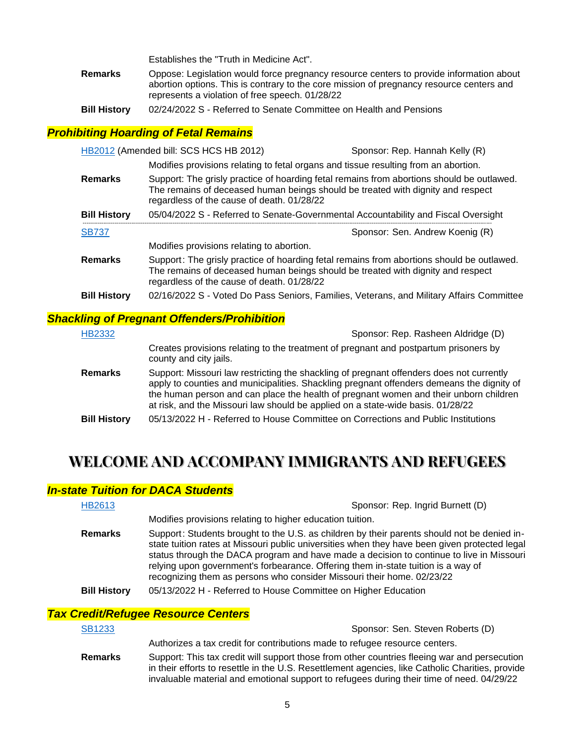Establishes the "Truth in Medicine Act".

- **Remarks** Oppose: Legislation would force pregnancy resource centers to provide information about abortion options. This is contrary to the core mission of pregnancy resource centers and represents a violation of free speech. 01/28/22
- **Bill History** 02/24/2022 S Referred to Senate Committee on Health and Pensions

#### *Prohibiting Hoarding of Fetal Remains*

|                     | HB2012 (Amended bill: SCS HCS HB 2012)     | Sponsor: Rep. Hannah Kelly (R)                                                                                                                                               |
|---------------------|--------------------------------------------|------------------------------------------------------------------------------------------------------------------------------------------------------------------------------|
|                     |                                            | Modifies provisions relating to fetal organs and tissue resulting from an abortion.                                                                                          |
| <b>Remarks</b>      | regardless of the cause of death. 01/28/22 | Support: The grisly practice of hoarding fetal remains from abortions should be outlawed.<br>The remains of deceased human beings should be treated with dignity and respect |
| <b>Bill History</b> |                                            | 05/04/2022 S - Referred to Senate-Governmental Accountability and Fiscal Oversight                                                                                           |
| <b>SB737</b>        |                                            | Sponsor: Sen. Andrew Koenig (R)                                                                                                                                              |
|                     | Modifies provisions relating to abortion.  |                                                                                                                                                                              |
| <b>Remarks</b>      | regardless of the cause of death. 01/28/22 | Support: The grisly practice of hoarding fetal remains from abortions should be outlawed.<br>The remains of deceased human beings should be treated with dignity and respect |
| <b>Bill History</b> |                                            |                                                                                                                                                                              |

#### *Shackling of Pregnant Offenders/Prohibition*

| <b>HB2332</b>       | Sponsor: Rep. Rasheen Aldridge (D)                                                                                                                                                                                                                                                                                                                                |
|---------------------|-------------------------------------------------------------------------------------------------------------------------------------------------------------------------------------------------------------------------------------------------------------------------------------------------------------------------------------------------------------------|
|                     | Creates provisions relating to the treatment of pregnant and postpartum prisoners by<br>county and city jails.                                                                                                                                                                                                                                                    |
| <b>Remarks</b>      | Support: Missouri law restricting the shackling of pregnant offenders does not currently<br>apply to counties and municipalities. Shackling pregnant offenders demeans the dignity of<br>the human person and can place the health of pregnant women and their unborn children<br>at risk, and the Missouri law should be applied on a state-wide basis. 01/28/22 |
| <b>Bill History</b> | 05/13/2022 H - Referred to House Committee on Corrections and Public Institutions                                                                                                                                                                                                                                                                                 |

# **WELCOME AND ACCOMPANY IMMIGRANTS AND REFUGEES**

#### *In-state Tuition for DACA Students*

| HB2613              | Sponsor: Rep. Ingrid Burnett (D)                                                                                                                                                                                                                                                                                                                                                                                                                        |
|---------------------|---------------------------------------------------------------------------------------------------------------------------------------------------------------------------------------------------------------------------------------------------------------------------------------------------------------------------------------------------------------------------------------------------------------------------------------------------------|
|                     | Modifies provisions relating to higher education tuition.                                                                                                                                                                                                                                                                                                                                                                                               |
| <b>Remarks</b>      | Support: Students brought to the U.S. as children by their parents should not be denied in-<br>state tuition rates at Missouri public universities when they have been given protected legal<br>status through the DACA program and have made a decision to continue to live in Missouri<br>relying upon government's forbearance. Offering them in-state tuition is a way of<br>recognizing them as persons who consider Missouri their home. 02/23/22 |
| <b>Bill History</b> | 05/13/2022 H - Referred to House Committee on Higher Education                                                                                                                                                                                                                                                                                                                                                                                          |

#### *Tax Credit/Refugee Resource Centers*

| <b>SB1233</b>  | Sponsor: Sen. Steven Roberts (D)                                                                                                                                                                                                                                                              |
|----------------|-----------------------------------------------------------------------------------------------------------------------------------------------------------------------------------------------------------------------------------------------------------------------------------------------|
|                | Authorizes a tax credit for contributions made to refugee resource centers.                                                                                                                                                                                                                   |
| <b>Remarks</b> | Support: This tax credit will support those from other countries fleeing war and persecution<br>in their efforts to resettle in the U.S. Resettlement agencies, like Catholic Charities, provide<br>invaluable material and emotional support to refugees during their time of need. 04/29/22 |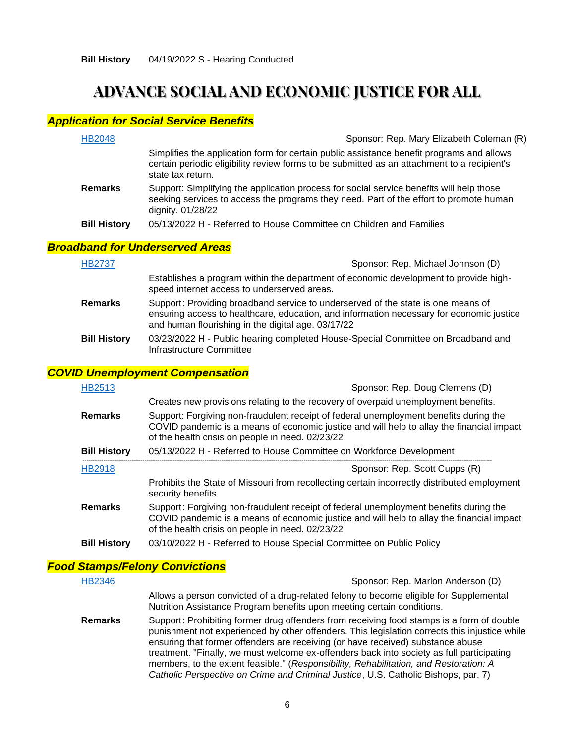# **ADVANCE SOCIAL AND ECONOMIC JUSTICE FOR ALL**

### *Application for Social Service Benefits*

| <b>HB2048</b>       | Sponsor: Rep. Mary Elizabeth Coleman (R)                                                                                                                                                                      |
|---------------------|---------------------------------------------------------------------------------------------------------------------------------------------------------------------------------------------------------------|
|                     | Simplifies the application form for certain public assistance benefit programs and allows<br>certain periodic eligibility review forms to be submitted as an attachment to a recipient's<br>state tax return. |
| <b>Remarks</b>      | Support: Simplifying the application process for social service benefits will help those<br>seeking services to access the programs they need. Part of the effort to promote human<br>dignity. 01/28/22       |
| <b>Bill History</b> | 05/13/2022 H - Referred to House Committee on Children and Families                                                                                                                                           |
|                     | <b>Iband for Underserved Areas</b>                                                                                                                                                                            |
| 1100707             |                                                                                                                                                                                                               |

## *Broad*

| <b>HB2737</b>       | Sponsor: Rep. Michael Johnson (D)                                                                                                                                                                                                  |  |
|---------------------|------------------------------------------------------------------------------------------------------------------------------------------------------------------------------------------------------------------------------------|--|
|                     | Establishes a program within the department of economic development to provide high-<br>speed internet access to underserved areas.                                                                                                |  |
| <b>Remarks</b>      | Support: Providing broadband service to underserved of the state is one means of<br>ensuring access to healthcare, education, and information necessary for economic justice<br>and human flourishing in the digital age. 03/17/22 |  |
| <b>Bill History</b> | 03/23/2022 H - Public hearing completed House-Special Committee on Broadband and<br>Infrastructure Committee                                                                                                                       |  |

#### *COVID Unemployment Compensation*

| HB2513              | Sponsor: Rep. Doug Clemens (D)                                                                                                                                                                                                         |  |
|---------------------|----------------------------------------------------------------------------------------------------------------------------------------------------------------------------------------------------------------------------------------|--|
|                     | Creates new provisions relating to the recovery of overpaid unemployment benefits.                                                                                                                                                     |  |
| <b>Remarks</b>      | Support: Forgiving non-fraudulent receipt of federal unemployment benefits during the<br>COVID pandemic is a means of economic justice and will help to allay the financial impact<br>of the health crisis on people in need. 02/23/22 |  |
| <b>Bill History</b> | 05/13/2022 H - Referred to House Committee on Workforce Development                                                                                                                                                                    |  |
| <b>HB2918</b>       | Sponsor: Rep. Scott Cupps (R)                                                                                                                                                                                                          |  |
|                     | Prohibits the State of Missouri from recollecting certain incorrectly distributed employment<br>security benefits.                                                                                                                     |  |
| <b>Remarks</b>      | Support: Forgiving non-fraudulent receipt of federal unemployment benefits during the<br>COVID pandemic is a means of economic justice and will help to allay the financial impact<br>of the health crisis on people in need. 02/23/22 |  |
| <b>Bill History</b> | 03/10/2022 H - Referred to House Special Committee on Public Policy                                                                                                                                                                    |  |

## *Food Stamps/Felony Convictions*

| <b>HB2346</b>  | Sponsor: Rep. Marlon Anderson (D)                                                                                                                                                                                                                                                                                                                                                                                                                                                                                                                         |  |
|----------------|-----------------------------------------------------------------------------------------------------------------------------------------------------------------------------------------------------------------------------------------------------------------------------------------------------------------------------------------------------------------------------------------------------------------------------------------------------------------------------------------------------------------------------------------------------------|--|
|                | Allows a person convicted of a drug-related felony to become eligible for Supplemental<br>Nutrition Assistance Program benefits upon meeting certain conditions.                                                                                                                                                                                                                                                                                                                                                                                          |  |
| <b>Remarks</b> | Support: Prohibiting former drug offenders from receiving food stamps is a form of double<br>punishment not experienced by other offenders. This legislation corrects this injustice while<br>ensuring that former offenders are receiving (or have received) substance abuse<br>treatment. "Finally, we must welcome ex-offenders back into society as full participating<br>members, to the extent feasible." (Responsibility, Rehabilitation, and Restoration: A<br>Catholic Perspective on Crime and Criminal Justice, U.S. Catholic Bishops, par. 7) |  |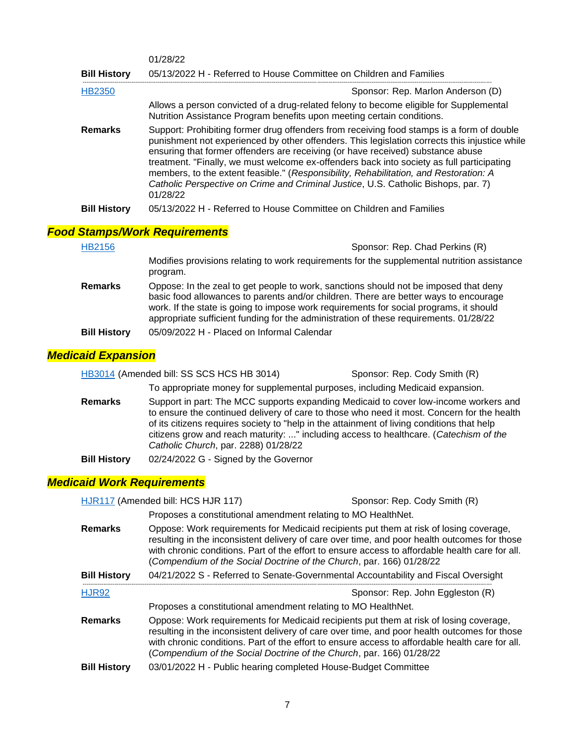|                                      | 01/28/22                                                                                                                                                                                                                                                                                                                                                                                                                                                                                                                                                              |
|--------------------------------------|-----------------------------------------------------------------------------------------------------------------------------------------------------------------------------------------------------------------------------------------------------------------------------------------------------------------------------------------------------------------------------------------------------------------------------------------------------------------------------------------------------------------------------------------------------------------------|
| <b>Bill History</b>                  | 05/13/2022 H - Referred to House Committee on Children and Families                                                                                                                                                                                                                                                                                                                                                                                                                                                                                                   |
| HB2350                               | Sponsor: Rep. Marlon Anderson (D)                                                                                                                                                                                                                                                                                                                                                                                                                                                                                                                                     |
|                                      | Allows a person convicted of a drug-related felony to become eligible for Supplemental<br>Nutrition Assistance Program benefits upon meeting certain conditions.                                                                                                                                                                                                                                                                                                                                                                                                      |
| <b>Remarks</b>                       | Support: Prohibiting former drug offenders from receiving food stamps is a form of double<br>punishment not experienced by other offenders. This legislation corrects this injustice while<br>ensuring that former offenders are receiving (or have received) substance abuse<br>treatment. "Finally, we must welcome ex-offenders back into society as full participating<br>members, to the extent feasible." (Responsibility, Rehabilitation, and Restoration: A<br>Catholic Perspective on Crime and Criminal Justice, U.S. Catholic Bishops, par. 7)<br>01/28/22 |
| <b>Bill History</b>                  | 05/13/2022 H - Referred to House Committee on Children and Families                                                                                                                                                                                                                                                                                                                                                                                                                                                                                                   |
| <b>Food Stamps/Work Requirements</b> |                                                                                                                                                                                                                                                                                                                                                                                                                                                                                                                                                                       |

| <b>HB2156</b>       | Sponsor: Rep. Chad Perkins (R)                                                                                                                                                                                                                                                                                                                                  |  |
|---------------------|-----------------------------------------------------------------------------------------------------------------------------------------------------------------------------------------------------------------------------------------------------------------------------------------------------------------------------------------------------------------|--|
|                     | Modifies provisions relating to work requirements for the supplemental nutrition assistance<br>program.                                                                                                                                                                                                                                                         |  |
| <b>Remarks</b>      | Oppose: In the zeal to get people to work, sanctions should not be imposed that deny<br>basic food allowances to parents and/or children. There are better ways to encourage<br>work. If the state is going to impose work requirements for social programs, it should<br>appropriate sufficient funding for the administration of these requirements. 01/28/22 |  |
| <b>Bill History</b> | 05/09/2022 H - Placed on Informal Calendar                                                                                                                                                                                                                                                                                                                      |  |

## *Medicaid Expansion*

|                     | HB3014 (Amended bill: SS SCS HCS HB 3014) | Sponsor: Rep. Cody Smith (R)                                                                                                                                                                                                                                                                                                                                              |
|---------------------|-------------------------------------------|---------------------------------------------------------------------------------------------------------------------------------------------------------------------------------------------------------------------------------------------------------------------------------------------------------------------------------------------------------------------------|
|                     |                                           | To appropriate money for supplemental purposes, including Medicaid expansion.                                                                                                                                                                                                                                                                                             |
| <b>Remarks</b>      | Catholic Church, par. 2288) 01/28/22      | Support in part: The MCC supports expanding Medicaid to cover low-income workers and<br>to ensure the continued delivery of care to those who need it most. Concern for the health<br>of its citizens requires society to "help in the attainment of living conditions that help<br>citizens grow and reach maturity: " including access to healthcare. (Catechism of the |
| <b>Bill History</b> | 02/24/2022 G - Signed by the Governor     |                                                                                                                                                                                                                                                                                                                                                                           |

## *Medicaid Work Requirements*

|                     | HJR117 (Amended bill: HCS HJR 117)                                                                                                                                                                                                                                                                                                                                | Sponsor: Rep. Cody Smith (R) |  |
|---------------------|-------------------------------------------------------------------------------------------------------------------------------------------------------------------------------------------------------------------------------------------------------------------------------------------------------------------------------------------------------------------|------------------------------|--|
|                     | Proposes a constitutional amendment relating to MO HealthNet.                                                                                                                                                                                                                                                                                                     |                              |  |
| <b>Remarks</b>      | Oppose: Work requirements for Medicaid recipients put them at risk of losing coverage,<br>resulting in the inconsistent delivery of care over time, and poor health outcomes for those<br>with chronic conditions. Part of the effort to ensure access to affordable health care for all.<br>(Compendium of the Social Doctrine of the Church, par. 166) 01/28/22 |                              |  |
| <b>Bill History</b> | 04/21/2022 S - Referred to Senate-Governmental Accountability and Fiscal Oversight                                                                                                                                                                                                                                                                                |                              |  |
|                     | Sponsor: Rep. John Eggleston (R)                                                                                                                                                                                                                                                                                                                                  |                              |  |
| <b>HJR92</b>        |                                                                                                                                                                                                                                                                                                                                                                   |                              |  |
|                     | Proposes a constitutional amendment relating to MO HealthNet.                                                                                                                                                                                                                                                                                                     |                              |  |
| <b>Remarks</b>      | Oppose: Work requirements for Medicaid recipients put them at risk of losing coverage,<br>resulting in the inconsistent delivery of care over time, and poor health outcomes for those<br>with chronic conditions. Part of the effort to ensure access to affordable health care for all.<br>(Compendium of the Social Doctrine of the Church, par. 166) 01/28/22 |                              |  |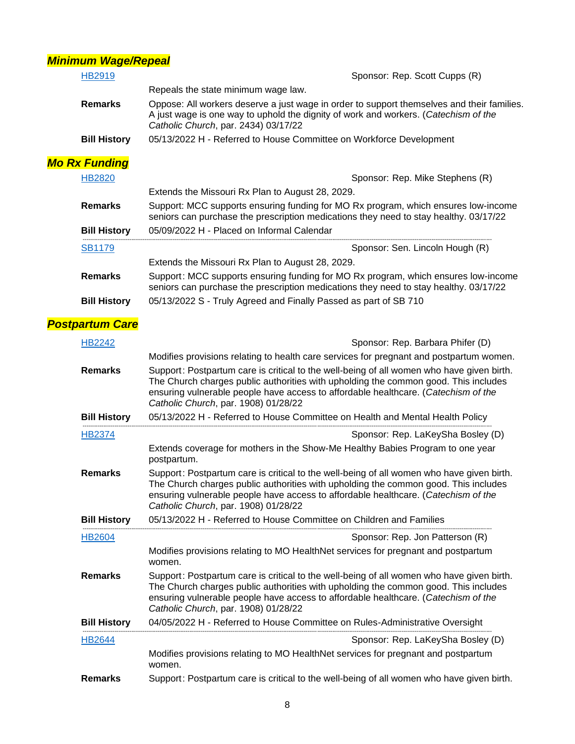## *Minimum Wage/Repeal*

| <b>HB2919</b>          | Sponsor: Rep. Scott Cupps (R)                                                                                                                                                                                                                                                                                  |  |  |
|------------------------|----------------------------------------------------------------------------------------------------------------------------------------------------------------------------------------------------------------------------------------------------------------------------------------------------------------|--|--|
|                        | Repeals the state minimum wage law.                                                                                                                                                                                                                                                                            |  |  |
| <b>Remarks</b>         | Oppose: All workers deserve a just wage in order to support themselves and their families.<br>A just wage is one way to uphold the dignity of work and workers. (Catechism of the<br>Catholic Church, par. 2434) 03/17/22                                                                                      |  |  |
| <b>Bill History</b>    | 05/13/2022 H - Referred to House Committee on Workforce Development                                                                                                                                                                                                                                            |  |  |
| <b>Mo Rx Funding</b>   |                                                                                                                                                                                                                                                                                                                |  |  |
| <b>HB2820</b>          | Sponsor: Rep. Mike Stephens (R)                                                                                                                                                                                                                                                                                |  |  |
|                        | Extends the Missouri Rx Plan to August 28, 2029.                                                                                                                                                                                                                                                               |  |  |
| <b>Remarks</b>         | Support: MCC supports ensuring funding for MO Rx program, which ensures low-income<br>seniors can purchase the prescription medications they need to stay healthy. 03/17/22                                                                                                                                    |  |  |
| <b>Bill History</b>    | 05/09/2022 H - Placed on Informal Calendar                                                                                                                                                                                                                                                                     |  |  |
| <b>SB1179</b>          | Sponsor: Sen. Lincoln Hough (R)                                                                                                                                                                                                                                                                                |  |  |
|                        | Extends the Missouri Rx Plan to August 28, 2029.                                                                                                                                                                                                                                                               |  |  |
| <b>Remarks</b>         | Support: MCC supports ensuring funding for MO Rx program, which ensures low-income<br>seniors can purchase the prescription medications they need to stay healthy. 03/17/22                                                                                                                                    |  |  |
| <b>Bill History</b>    | 05/13/2022 S - Truly Agreed and Finally Passed as part of SB 710                                                                                                                                                                                                                                               |  |  |
| <b>Postpartum Care</b> |                                                                                                                                                                                                                                                                                                                |  |  |
| <b>HB2242</b>          | Sponsor: Rep. Barbara Phifer (D)                                                                                                                                                                                                                                                                               |  |  |
|                        | Modifies provisions relating to health care services for pregnant and postpartum women.                                                                                                                                                                                                                        |  |  |
| <b>Remarks</b>         | Support: Postpartum care is critical to the well-being of all women who have given birth.                                                                                                                                                                                                                      |  |  |
|                        | The Church charges public authorities with upholding the common good. This includes<br>ensuring vulnerable people have access to affordable healthcare. (Catechism of the<br>Catholic Church, par. 1908) 01/28/22                                                                                              |  |  |
| <b>Bill History</b>    | 05/13/2022 H - Referred to House Committee on Health and Mental Health Policy                                                                                                                                                                                                                                  |  |  |
| HB2374                 | Sponsor: Rep. LaKeySha Bosley (D)                                                                                                                                                                                                                                                                              |  |  |
|                        | Extends coverage for mothers in the Show-Me Healthy Babies Program to one year<br>postpartum.                                                                                                                                                                                                                  |  |  |
| <b>Remarks</b>         | Support: Postpartum care is critical to the well-being of all women who have given birth.<br>The Church charges public authorities with upholding the common good. This includes<br>ensuring vulnerable people have access to affordable healthcare. (Catechism of the<br>Catholic Church, par. 1908) 01/28/22 |  |  |
| <b>Bill History</b>    | 05/13/2022 H - Referred to House Committee on Children and Families                                                                                                                                                                                                                                            |  |  |
| <b>HB2604</b>          | Sponsor: Rep. Jon Patterson (R)                                                                                                                                                                                                                                                                                |  |  |
|                        | Modifies provisions relating to MO HealthNet services for pregnant and postpartum<br>women.                                                                                                                                                                                                                    |  |  |
| <b>Remarks</b>         | Support: Postpartum care is critical to the well-being of all women who have given birth.<br>The Church charges public authorities with upholding the common good. This includes<br>ensuring vulnerable people have access to affordable healthcare. (Catechism of the<br>Catholic Church, par. 1908) 01/28/22 |  |  |
| <b>Bill History</b>    | 04/05/2022 H - Referred to House Committee on Rules-Administrative Oversight                                                                                                                                                                                                                                   |  |  |
| HB2644                 | Sponsor: Rep. LaKeySha Bosley (D)                                                                                                                                                                                                                                                                              |  |  |
|                        | Modifies provisions relating to MO HealthNet services for pregnant and postpartum<br>women.                                                                                                                                                                                                                    |  |  |
| <b>Remarks</b>         | Support: Postpartum care is critical to the well-being of all women who have given birth.                                                                                                                                                                                                                      |  |  |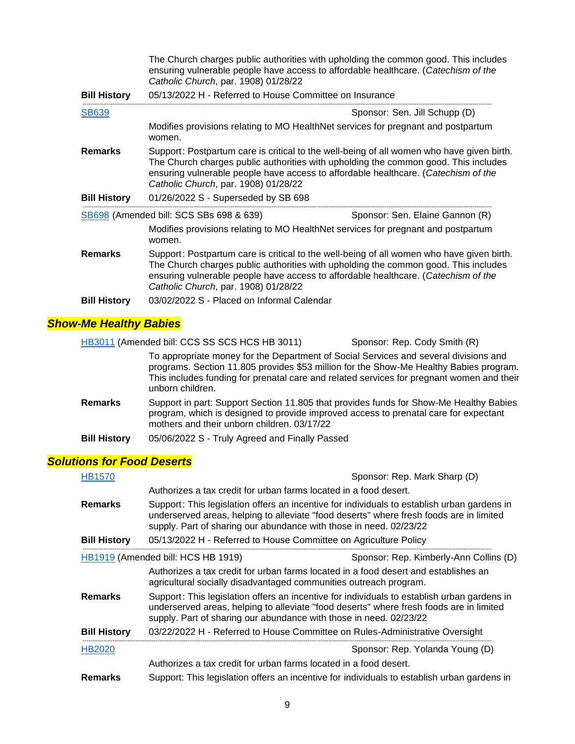|                     | The Church charges public authorities with upholding the common good. This includes<br>ensuring vulnerable people have access to affordable healthcare. (Catechism of the<br>Catholic Church, par. 1908) 01/28/22                                                                                              |                                 |  |
|---------------------|----------------------------------------------------------------------------------------------------------------------------------------------------------------------------------------------------------------------------------------------------------------------------------------------------------------|---------------------------------|--|
| <b>Bill History</b> | 05/13/2022 H - Referred to House Committee on Insurance                                                                                                                                                                                                                                                        |                                 |  |
| <b>SB639</b>        | Sponsor: Sen. Jill Schupp (D)                                                                                                                                                                                                                                                                                  |                                 |  |
|                     | Modifies provisions relating to MO HealthNet services for pregnant and postpartum<br>women.                                                                                                                                                                                                                    |                                 |  |
| <b>Remarks</b>      | Support: Postpartum care is critical to the well-being of all women who have given birth.<br>The Church charges public authorities with upholding the common good. This includes<br>ensuring vulnerable people have access to affordable healthcare. (Catechism of the<br>Catholic Church, par. 1908) 01/28/22 |                                 |  |
| <b>Bill History</b> | 01/26/2022 S - Superseded by SB 698                                                                                                                                                                                                                                                                            |                                 |  |
|                     | SB698 (Amended bill: SCS SBs 698 & 639)                                                                                                                                                                                                                                                                        | Sponsor: Sen. Elaine Gannon (R) |  |
|                     | Modifies provisions relating to MO HealthNet services for pregnant and postpartum<br>women.                                                                                                                                                                                                                    |                                 |  |
| <b>Remarks</b>      | Support: Postpartum care is critical to the well-being of all women who have given birth.<br>The Church charges public authorities with upholding the common good. This includes<br>ensuring vulnerable people have access to affordable healthcare. (Catechism of the<br>Catholic Church, par. 1908) 01/28/22 |                                 |  |
| <b>Bill History</b> | 03/02/2022 S - Placed on Informal Calendar                                                                                                                                                                                                                                                                     |                                 |  |

## *Show-Me Healthy Babies*

|                     | HB3011 (Amended bill: CCS SS SCS HCS HB 3011)  | Sponsor: Rep. Cody Smith (R)                                                                                                                                                                                                                                                |
|---------------------|------------------------------------------------|-----------------------------------------------------------------------------------------------------------------------------------------------------------------------------------------------------------------------------------------------------------------------------|
|                     | unborn children.                               | To appropriate money for the Department of Social Services and several divisions and<br>programs. Section 11.805 provides \$53 million for the Show-Me Healthy Babies program.<br>This includes funding for prenatal care and related services for pregnant women and their |
| <b>Remarks</b>      | mothers and their unborn children, 03/17/22    | Support in part: Support Section 11.805 that provides funds for Show-Me Healthy Babies<br>program, which is designed to provide improved access to prenatal care for expectant                                                                                              |
| <b>Bill History</b> | 05/06/2022 S - Truly Agreed and Finally Passed |                                                                                                                                                                                                                                                                             |

## *Solutions for Food Deserts*

| <b>HB1570</b>       | Sponsor: Rep. Mark Sharp (D)                                                                                                                                                                                                                                 |                                        |
|---------------------|--------------------------------------------------------------------------------------------------------------------------------------------------------------------------------------------------------------------------------------------------------------|----------------------------------------|
|                     | Authorizes a tax credit for urban farms located in a food desert.                                                                                                                                                                                            |                                        |
| <b>Remarks</b>      | Support: This legislation offers an incentive for individuals to establish urban gardens in<br>underserved areas, helping to alleviate "food deserts" where fresh foods are in limited<br>supply. Part of sharing our abundance with those in need. 02/23/22 |                                        |
| <b>Bill History</b> | 05/13/2022 H - Referred to House Committee on Agriculture Policy                                                                                                                                                                                             |                                        |
|                     | HB1919 (Amended bill: HCS HB 1919)                                                                                                                                                                                                                           | Sponsor: Rep. Kimberly-Ann Collins (D) |
|                     | Authorizes a tax credit for urban farms located in a food desert and establishes an<br>agricultural socially disadvantaged communities outreach program.                                                                                                     |                                        |
| <b>Remarks</b>      | Support: This legislation offers an incentive for individuals to establish urban gardens in<br>underserved areas, helping to alleviate "food deserts" where fresh foods are in limited<br>supply. Part of sharing our abundance with those in need. 02/23/22 |                                        |
| <b>Bill History</b> | 03/22/2022 H - Referred to House Committee on Rules-Administrative Oversight                                                                                                                                                                                 |                                        |
| <b>HB2020</b>       |                                                                                                                                                                                                                                                              | Sponsor: Rep. Yolanda Young (D)        |
|                     | Authorizes a tax credit for urban farms located in a food desert.                                                                                                                                                                                            |                                        |
| Remarks             | Support: This legislation offers an incentive for individuals to establish urban gardens in                                                                                                                                                                  |                                        |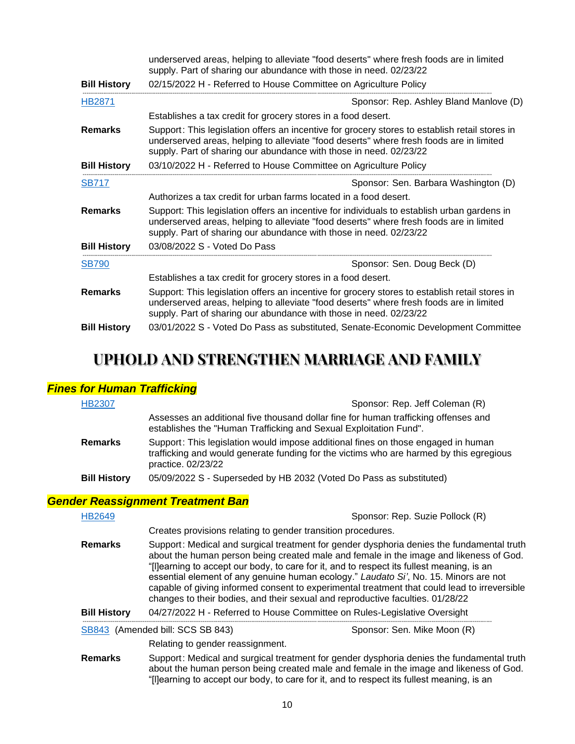|                     | underserved areas, helping to alleviate "food deserts" where fresh foods are in limited<br>supply. Part of sharing our abundance with those in need. 02/23/22                                                                                                   |
|---------------------|-----------------------------------------------------------------------------------------------------------------------------------------------------------------------------------------------------------------------------------------------------------------|
| <b>Bill History</b> | 02/15/2022 H - Referred to House Committee on Agriculture Policy                                                                                                                                                                                                |
| HB2871              | Sponsor: Rep. Ashley Bland Manlove (D)                                                                                                                                                                                                                          |
|                     | Establishes a tax credit for grocery stores in a food desert.                                                                                                                                                                                                   |
| <b>Remarks</b>      | Support: This legislation offers an incentive for grocery stores to establish retail stores in<br>underserved areas, helping to alleviate "food deserts" where fresh foods are in limited<br>supply. Part of sharing our abundance with those in need. 02/23/22 |
| <b>Bill History</b> | 03/10/2022 H - Referred to House Committee on Agriculture Policy                                                                                                                                                                                                |
| <b>SB717</b>        | Sponsor: Sen. Barbara Washington (D)                                                                                                                                                                                                                            |
|                     | Authorizes a tax credit for urban farms located in a food desert.                                                                                                                                                                                               |
| <b>Remarks</b>      | Support: This legislation offers an incentive for individuals to establish urban gardens in<br>underserved areas, helping to alleviate "food deserts" where fresh foods are in limited<br>supply. Part of sharing our abundance with those in need. 02/23/22    |
| <b>Bill History</b> | 03/08/2022 S - Voted Do Pass                                                                                                                                                                                                                                    |
| <b>SB790</b>        | Sponsor: Sen. Doug Beck (D)                                                                                                                                                                                                                                     |
|                     | Establishes a tax credit for grocery stores in a food desert.                                                                                                                                                                                                   |
| <b>Remarks</b>      | Support: This legislation offers an incentive for grocery stores to establish retail stores in<br>underserved areas, helping to alleviate "food deserts" where fresh foods are in limited<br>supply. Part of sharing our abundance with those in need. 02/23/22 |
| <b>Bill History</b> | 03/01/2022 S - Voted Do Pass as substituted, Senate-Economic Development Committee                                                                                                                                                                              |

## **UPHOLD AND STRENGTHEN MARRIAGE AND FAMILY**

#### *Fines for Human Trafficking*

| <b>HB2307</b>       | Sponsor: Rep. Jeff Coleman (R)                                                                                                                                                                                                                                                                                                                                           |
|---------------------|--------------------------------------------------------------------------------------------------------------------------------------------------------------------------------------------------------------------------------------------------------------------------------------------------------------------------------------------------------------------------|
|                     | Assesses an additional five thousand dollar fine for human trafficking offenses and<br>establishes the "Human Trafficking and Sexual Exploitation Fund".                                                                                                                                                                                                                 |
| <b>Remarks</b>      | Support: This legislation would impose additional fines on those engaged in human<br>trafficking and would generate funding for the victims who are harmed by this egregious<br>practice. 02/23/22                                                                                                                                                                       |
| <b>Bill History</b> | 05/09/2022 S - Superseded by HB 2032 (Voted Do Pass as substituted)                                                                                                                                                                                                                                                                                                      |
|                     | <b>Gender Reassignment Treatment Ban</b>                                                                                                                                                                                                                                                                                                                                 |
| HB2649              | Sponsor: Rep. Suzie Pollock (R)                                                                                                                                                                                                                                                                                                                                          |
|                     | Creates provisions relating to gender transition procedures.                                                                                                                                                                                                                                                                                                             |
| <b>Remarks</b>      | Support: Medical and surgical treatment for gender dysphoria denies the fundamental truth<br>about the human person being created male and female in the image and likeness of God.<br>"[I]earning to accept our body, to care for it, and to respect its fullest meaning, is an<br>essential element of any genuine human ecology." Laudato Si', No. 15. Minors are not |

capable of giving informed consent to experimental treatment that could lead to irreversible changes to their bodies, and their sexual and reproductive faculties. 01/28/22

**Bill History** 04/27/2022 H - Referred to House Committee on Rules-Legislative Oversight

-------------------------------------------------------------------------------------------------------------------------------------------------------------------------------------------------------------------------- [SB843](https://www.senate.mo.gov/22info/BTS_Web/Bill.aspx?SessionType=R&BillID=71259876) (Amended bill: SCS SB 843) Sponsor: Sen. Mike Moon (R)

Relating to gender reassignment.

**Remarks** Support: Medical and surgical treatment for gender dysphoria denies the fundamental truth about the human person being created male and female in the image and likeness of God. "[l]earning to accept our body, to care for it, and to respect its fullest meaning, is an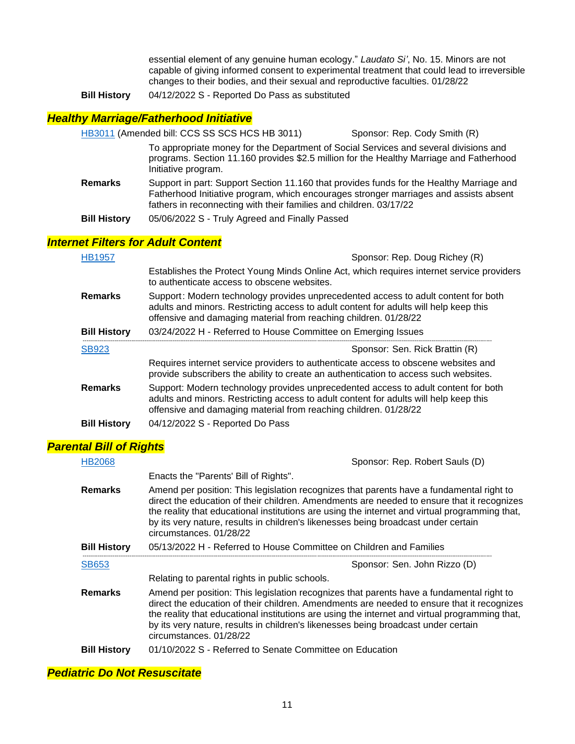essential element of any genuine human ecology." *Laudato Si'*, No. 15. Minors are not capable of giving informed consent to experimental treatment that could lead to irreversible changes to their bodies, and their sexual and reproductive faculties. 01/28/22

**Bill History** 04/12/2022 S - Reported Do Pass as substituted

#### *Healthy Marriage/Fatherhood Initiative*

[HB3011](https://house.mo.gov/Bill.aspx?bill=HB3011&year=2022&code=R) (Amended bill: CCS SS SCS HCS HB 3011) Sponsor: Rep. Cody Smith (R)

To appropriate money for the Department of Social Services and several divisions and programs. Section 11.160 provides \$2.5 million for the Healthy Marriage and Fatherhood Initiative program.

- **Remarks** Support in part: Support Section 11.160 that provides funds for the Healthy Marriage and Fatherhood Initiative program, which encourages stronger marriages and assists absent fathers in reconnecting with their families and children. 03/17/22
- **Bill History** 05/06/2022 S Truly Agreed and Finally Passed

#### *Internet Filters for Adult Content*

| <b>HB1957</b>       | Sponsor: Rep. Doug Richey (R)                                                                                                                                                                                                                   |
|---------------------|-------------------------------------------------------------------------------------------------------------------------------------------------------------------------------------------------------------------------------------------------|
|                     | Establishes the Protect Young Minds Online Act, which requires internet service providers<br>to authenticate access to obscene websites.                                                                                                        |
| <b>Remarks</b>      | Support: Modern technology provides unprecedented access to adult content for both<br>adults and minors. Restricting access to adult content for adults will help keep this<br>offensive and damaging material from reaching children. 01/28/22 |
| <b>Bill History</b> | 03/24/2022 H - Referred to House Committee on Emerging Issues                                                                                                                                                                                   |
|                     |                                                                                                                                                                                                                                                 |
| <b>SB923</b>        | Sponsor: Sen. Rick Brattin (R)                                                                                                                                                                                                                  |
|                     | Requires internet service providers to authenticate access to obscene websites and<br>provide subscribers the ability to create an authentication to access such websites.                                                                      |
| <b>Remarks</b>      | Support: Modern technology provides unprecedented access to adult content for both<br>adults and minors. Restricting access to adult content for adults will help keep this<br>offensive and damaging material from reaching children. 01/28/22 |

#### *Parental Bill of Rights*

| <b>HB2068</b>       | Sponsor: Rep. Robert Sauls (D)                                                                                                                                                                                                                                                                                                                                                                            |
|---------------------|-----------------------------------------------------------------------------------------------------------------------------------------------------------------------------------------------------------------------------------------------------------------------------------------------------------------------------------------------------------------------------------------------------------|
|                     | Enacts the "Parents' Bill of Rights".                                                                                                                                                                                                                                                                                                                                                                     |
| <b>Remarks</b>      | Amend per position: This legislation recognizes that parents have a fundamental right to<br>direct the education of their children. Amendments are needed to ensure that it recognizes<br>the reality that educational institutions are using the internet and virtual programming that,<br>by its very nature, results in children's likenesses being broadcast under certain<br>circumstances, 01/28/22 |
| <b>Bill History</b> | 05/13/2022 H - Referred to House Committee on Children and Families                                                                                                                                                                                                                                                                                                                                       |
|                     |                                                                                                                                                                                                                                                                                                                                                                                                           |
| <b>SB653</b>        | Sponsor: Sen. John Rizzo (D)                                                                                                                                                                                                                                                                                                                                                                              |
|                     | Relating to parental rights in public schools.                                                                                                                                                                                                                                                                                                                                                            |
| <b>Remarks</b>      | Amend per position: This legislation recognizes that parents have a fundamental right to<br>direct the education of their children. Amendments are needed to ensure that it recognizes<br>the reality that educational institutions are using the internet and virtual programming that,<br>by its very nature, results in children's likenesses being broadcast under certain<br>circumstances. 01/28/22 |

#### *Pediatric Do Not Resuscitate*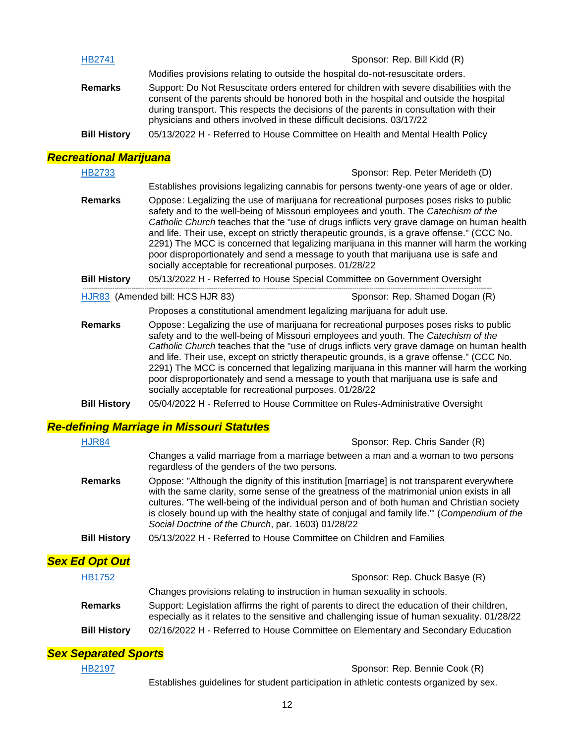| <b>HB2741</b>       | Sponsor: Rep. Bill Kidd (R)                                                                                                                                                                                                                                                                                                                             |
|---------------------|---------------------------------------------------------------------------------------------------------------------------------------------------------------------------------------------------------------------------------------------------------------------------------------------------------------------------------------------------------|
|                     | Modifies provisions relating to outside the hospital do-not-resuscitate orders.                                                                                                                                                                                                                                                                         |
| <b>Remarks</b>      | Support: Do Not Resuscitate orders entered for children with severe disabilities with the<br>consent of the parents should be honored both in the hospital and outside the hospital<br>during transport. This respects the decisions of the parents in consultation with their<br>physicians and others involved in these difficult decisions. 03/17/22 |
| <b>Bill History</b> | 05/13/2022 H - Referred to House Committee on Health and Mental Health Policy                                                                                                                                                                                                                                                                           |

## *Recreational Marijuana*

| <b>HB2733</b>       |                                                                                                                                                                                                                                                                                                                                                                                                                                                                                                                                                                                                                        | Sponsor: Rep. Peter Merideth (D) |
|---------------------|------------------------------------------------------------------------------------------------------------------------------------------------------------------------------------------------------------------------------------------------------------------------------------------------------------------------------------------------------------------------------------------------------------------------------------------------------------------------------------------------------------------------------------------------------------------------------------------------------------------------|----------------------------------|
|                     | Establishes provisions legalizing cannabis for persons twenty-one years of age or older.                                                                                                                                                                                                                                                                                                                                                                                                                                                                                                                               |                                  |
| <b>Remarks</b>      | Oppose: Legalizing the use of marijuana for recreational purposes poses risks to public<br>safety and to the well-being of Missouri employees and youth. The Catechism of the<br>Catholic Church teaches that the "use of drugs inflicts very grave damage on human health<br>and life. Their use, except on strictly therapeutic grounds, is a grave offense." (CCC No.<br>2291) The MCC is concerned that legalizing marijuana in this manner will harm the working<br>poor disproportionately and send a message to youth that marijuana use is safe and<br>socially acceptable for recreational purposes. 01/28/22 |                                  |
| <b>Bill History</b> | 05/13/2022 H - Referred to House Special Committee on Government Oversight                                                                                                                                                                                                                                                                                                                                                                                                                                                                                                                                             |                                  |
|                     | HJR83 (Amended bill: HCS HJR 83)                                                                                                                                                                                                                                                                                                                                                                                                                                                                                                                                                                                       | Sponsor: Rep. Shamed Dogan (R)   |
|                     | Proposes a constitutional amendment legalizing marijuana for adult use.                                                                                                                                                                                                                                                                                                                                                                                                                                                                                                                                                |                                  |
| <b>Remarks</b>      | Oppose: Legalizing the use of marijuana for recreational purposes poses risks to public<br>safety and to the well-being of Missouri employees and youth. The Catechism of the<br>Catholic Church teaches that the "use of drugs inflicts very grave damage on human health<br>and life. Their use, except on strictly therapeutic grounds, is a grave offense." (CCC No.<br>2291) The MCC is concerned that legalizing marijuana in this manner will harm the working<br>poor disproportionately and send a message to youth that marijuana use is safe and<br>socially acceptable for recreational purposes. 01/28/22 |                                  |
| <b>Bill History</b> | 05/04/2022 H - Referred to House Committee on Rules-Administrative Oversight                                                                                                                                                                                                                                                                                                                                                                                                                                                                                                                                           |                                  |

## *Re-defining Marriage in Missouri Statutes*

| <b>HJR84</b>          | Sponsor: Rep. Chris Sander (R)                                                                                                                                                                                                                                                                                                                                                                                                              |
|-----------------------|---------------------------------------------------------------------------------------------------------------------------------------------------------------------------------------------------------------------------------------------------------------------------------------------------------------------------------------------------------------------------------------------------------------------------------------------|
|                       | Changes a valid marriage from a marriage between a man and a woman to two persons<br>regardless of the genders of the two persons.                                                                                                                                                                                                                                                                                                          |
| <b>Remarks</b>        | Oppose: "Although the dignity of this institution [marriage] is not transparent everywhere<br>with the same clarity, some sense of the greatness of the matrimonial union exists in all<br>cultures. 'The well-being of the individual person and of both human and Christian society<br>is closely bound up with the healthy state of conjugal and family life."" (Compendium of the<br>Social Doctrine of the Church, par. 1603) 01/28/22 |
| <b>Bill History</b>   | 05/13/2022 H - Referred to House Committee on Children and Families                                                                                                                                                                                                                                                                                                                                                                         |
| <b>Sex Ed Opt Out</b> |                                                                                                                                                                                                                                                                                                                                                                                                                                             |
| HB1752                | Sponsor: Rep. Chuck Basye (R)                                                                                                                                                                                                                                                                                                                                                                                                               |
|                       | Changes provisions relating to instruction in human sexuality in schools.                                                                                                                                                                                                                                                                                                                                                                   |
| <b>Remarks</b>        | Support: Legislation affirms the right of parents to direct the education of their children,<br>especially as it relates to the sensitive and challenging issue of human sexuality. 01/28/22                                                                                                                                                                                                                                                |
| <b>Bill History</b>   | 02/16/2022 H - Referred to House Committee on Elementary and Secondary Education                                                                                                                                                                                                                                                                                                                                                            |

## *Sex Separated Sports*

[HB2197](https://house.mo.gov/Bill.aspx?bill=HB2197&year=2022&code=R) Sponsor: Rep. Bennie Cook (R)

Establishes guidelines for student participation in athletic contests organized by sex.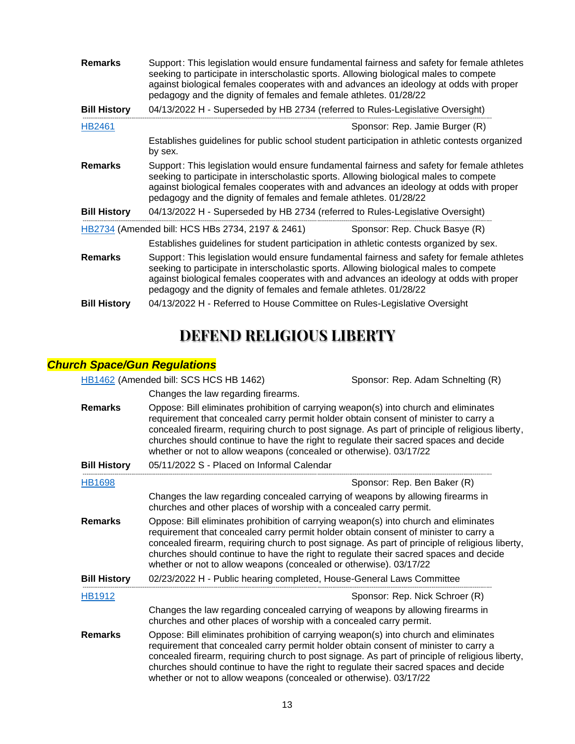| <b>Remarks</b>      | Support: This legislation would ensure fundamental fairness and safety for female athletes<br>seeking to participate in interscholastic sports. Allowing biological males to compete<br>against biological females cooperates with and advances an ideology at odds with proper<br>pedagogy and the dignity of females and female athletes. 01/28/22 |
|---------------------|------------------------------------------------------------------------------------------------------------------------------------------------------------------------------------------------------------------------------------------------------------------------------------------------------------------------------------------------------|
| <b>Bill History</b> | 04/13/2022 H - Superseded by HB 2734 (referred to Rules-Legislative Oversight)                                                                                                                                                                                                                                                                       |
| <b>HB2461</b>       | Sponsor: Rep. Jamie Burger (R)                                                                                                                                                                                                                                                                                                                       |
|                     | Establishes guidelines for public school student participation in athletic contests organized<br>by sex.                                                                                                                                                                                                                                             |
| <b>Remarks</b>      | Support: This legislation would ensure fundamental fairness and safety for female athletes<br>seeking to participate in interscholastic sports. Allowing biological males to compete<br>against biological females cooperates with and advances an ideology at odds with proper<br>pedagogy and the dignity of females and female athletes. 01/28/22 |
| <b>Bill History</b> | 04/13/2022 H - Superseded by HB 2734 (referred to Rules-Legislative Oversight)                                                                                                                                                                                                                                                                       |
|                     | HB2734 (Amended bill: HCS HBs 2734, 2197 & 2461)<br>Sponsor: Rep. Chuck Basye (R)                                                                                                                                                                                                                                                                    |
|                     | Establishes guidelines for student participation in athletic contests organized by sex.                                                                                                                                                                                                                                                              |
| <b>Remarks</b>      | Support: This legislation would ensure fundamental fairness and safety for female athletes<br>seeking to participate in interscholastic sports. Allowing biological males to compete<br>against biological females cooperates with and advances an ideology at odds with proper<br>pedagogy and the dignity of females and female athletes. 01/28/22 |
| <b>Bill History</b> | 04/13/2022 H - Referred to House Committee on Rules-Legislative Oversight                                                                                                                                                                                                                                                                            |

# **DEFEND RELIGIOUS LIBERTY**

### *Church Space/Gun Regulations*

[HB1462](https://house.mo.gov/Bill.aspx?bill=HB1462&year=2022&code=R) (Amended bill: SCS HCS HB 1462) Sponsor: Rep. Adam Schnelting (R)

Changes the law regarding firearms.

| <b>Remarks</b>      | Oppose: Bill eliminates prohibition of carrying weapon(s) into church and eliminates<br>requirement that concealed carry permit holder obtain consent of minister to carry a<br>concealed firearm, requiring church to post signage. As part of principle of religious liberty,<br>churches should continue to have the right to regulate their sacred spaces and decide<br>whether or not to allow weapons (concealed or otherwise). 03/17/22 |
|---------------------|------------------------------------------------------------------------------------------------------------------------------------------------------------------------------------------------------------------------------------------------------------------------------------------------------------------------------------------------------------------------------------------------------------------------------------------------|
| <b>Bill History</b> | 05/11/2022 S - Placed on Informal Calendar                                                                                                                                                                                                                                                                                                                                                                                                     |
| <b>HB1698</b>       | Sponsor: Rep. Ben Baker (R)                                                                                                                                                                                                                                                                                                                                                                                                                    |
|                     | Changes the law regarding concealed carrying of weapons by allowing firearms in<br>churches and other places of worship with a concealed carry permit.                                                                                                                                                                                                                                                                                         |
| <b>Remarks</b>      | Oppose: Bill eliminates prohibition of carrying weapon(s) into church and eliminates<br>requirement that concealed carry permit holder obtain consent of minister to carry a<br>concealed firearm, requiring church to post signage. As part of principle of religious liberty,<br>churches should continue to have the right to regulate their sacred spaces and decide<br>whether or not to allow weapons (concealed or otherwise). 03/17/22 |
| <b>Bill History</b> | 02/23/2022 H - Public hearing completed, House-General Laws Committee                                                                                                                                                                                                                                                                                                                                                                          |
| HB1912              | Sponsor: Rep. Nick Schroer (R)                                                                                                                                                                                                                                                                                                                                                                                                                 |
|                     | Changes the law regarding concealed carrying of weapons by allowing firearms in<br>churches and other places of worship with a concealed carry permit.                                                                                                                                                                                                                                                                                         |
| <b>Remarks</b>      | Oppose: Bill eliminates prohibition of carrying weapon(s) into church and eliminates<br>requirement that concealed carry permit holder obtain consent of minister to carry a<br>concealed firearm, requiring church to post signage. As part of principle of religious liberty,<br>churches should continue to have the right to regulate their sacred spaces and decide<br>whether or not to allow weapons (concealed or otherwise). 03/17/22 |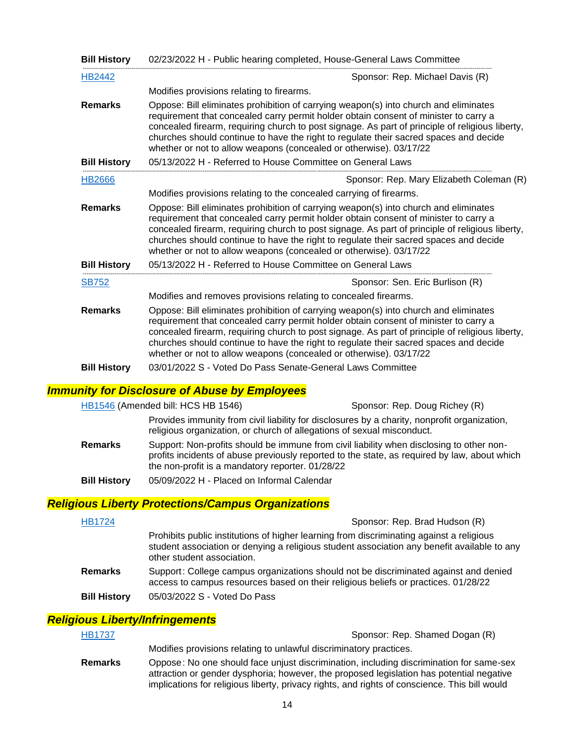| <b>Bill History</b> | 02/23/2022 H - Public hearing completed, House-General Laws Committee                                                                                                                                                                                                                                                                                                                                                                          |  |
|---------------------|------------------------------------------------------------------------------------------------------------------------------------------------------------------------------------------------------------------------------------------------------------------------------------------------------------------------------------------------------------------------------------------------------------------------------------------------|--|
| HB2442              | Sponsor: Rep. Michael Davis (R)                                                                                                                                                                                                                                                                                                                                                                                                                |  |
|                     | Modifies provisions relating to firearms.                                                                                                                                                                                                                                                                                                                                                                                                      |  |
| <b>Remarks</b>      | Oppose: Bill eliminates prohibition of carrying weapon(s) into church and eliminates<br>requirement that concealed carry permit holder obtain consent of minister to carry a<br>concealed firearm, requiring church to post signage. As part of principle of religious liberty,<br>churches should continue to have the right to regulate their sacred spaces and decide<br>whether or not to allow weapons (concealed or otherwise). 03/17/22 |  |
| <b>Bill History</b> | 05/13/2022 H - Referred to House Committee on General Laws                                                                                                                                                                                                                                                                                                                                                                                     |  |
| <b>HB2666</b>       | Sponsor: Rep. Mary Elizabeth Coleman (R)                                                                                                                                                                                                                                                                                                                                                                                                       |  |
|                     | Modifies provisions relating to the concealed carrying of firearms.                                                                                                                                                                                                                                                                                                                                                                            |  |
| <b>Remarks</b>      | Oppose: Bill eliminates prohibition of carrying weapon(s) into church and eliminates<br>requirement that concealed carry permit holder obtain consent of minister to carry a<br>concealed firearm, requiring church to post signage. As part of principle of religious liberty,<br>churches should continue to have the right to regulate their sacred spaces and decide<br>whether or not to allow weapons (concealed or otherwise). 03/17/22 |  |
| <b>Bill History</b> | 05/13/2022 H - Referred to House Committee on General Laws                                                                                                                                                                                                                                                                                                                                                                                     |  |
| <b>SB752</b>        | Sponsor: Sen. Eric Burlison (R)                                                                                                                                                                                                                                                                                                                                                                                                                |  |
|                     | Modifies and removes provisions relating to concealed firearms.                                                                                                                                                                                                                                                                                                                                                                                |  |
| <b>Remarks</b>      | Oppose: Bill eliminates prohibition of carrying weapon(s) into church and eliminates<br>requirement that concealed carry permit holder obtain consent of minister to carry a<br>concealed firearm, requiring church to post signage. As part of principle of religious liberty,<br>churches should continue to have the right to regulate their sacred spaces and decide<br>whether or not to allow weapons (concealed or otherwise). 03/17/22 |  |
| <b>Bill History</b> | 03/01/2022 S - Voted Do Pass Senate-General Laws Committee                                                                                                                                                                                                                                                                                                                                                                                     |  |

#### *Immunity for Disclosure of Abuse by Employees*

[HB1546](https://house.mo.gov/Bill.aspx?bill=HB1546&year=2022&code=R) (Amended bill: HCS HB 1546) Sponsor: Rep. Doug Richey (R)

|     | Provides immunity from civil liability for disclosures by a charity, nonprofit organization, |
|-----|----------------------------------------------------------------------------------------------|
|     | religious organization, or church of allegations of sexual misconduct.                       |
| rke | Support: Non-profite should be immune from civil liability when disclosing to other non-     |

- **Remarks** Support: Non-profits should be immune from civil liability when disclosing to other nonprofits incidents of abuse previously reported to the state, as required by law, about which the non-profit is a mandatory reporter. 01/28/22
- **Bill History** 05/09/2022 H Placed on Informal Calendar

#### *Religious Liberty Protections/Campus Organizations*

| <b>HB1724</b>       | Sponsor: Rep. Brad Hudson (R)                                                                                                                                                                                         |
|---------------------|-----------------------------------------------------------------------------------------------------------------------------------------------------------------------------------------------------------------------|
|                     | Prohibits public institutions of higher learning from discriminating against a religious<br>student association or denying a religious student association any benefit available to any<br>other student association. |
| <b>Remarks</b>      | Support: College campus organizations should not be discriminated against and denied<br>access to campus resources based on their religious beliefs or practices. 01/28/22                                            |
| <b>Bill History</b> | 05/03/2022 S - Voted Do Pass                                                                                                                                                                                          |

#### *Religious Liberty/Infringements*

| <b>HB1737</b>  | Sponsor: Rep. Shamed Dogan (R)                                                                                                                                                                                                                                                       |
|----------------|--------------------------------------------------------------------------------------------------------------------------------------------------------------------------------------------------------------------------------------------------------------------------------------|
|                | Modifies provisions relating to unlawful discriminatory practices.                                                                                                                                                                                                                   |
| <b>Remarks</b> | Oppose: No one should face unjust discrimination, including discrimination for same-sex<br>attraction or gender dysphoria; however, the proposed legislation has potential negative<br>implications for religious liberty, privacy rights, and rights of conscience. This bill would |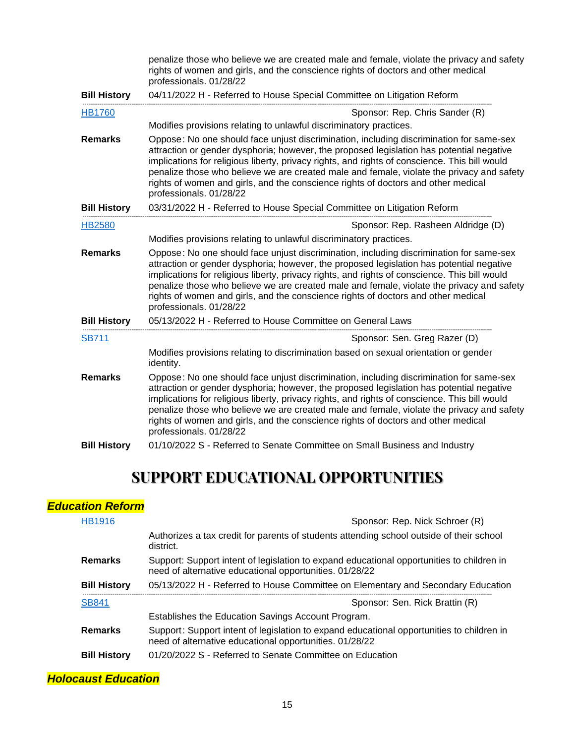|                     | penalize those who believe we are created male and female, violate the privacy and safety<br>rights of women and girls, and the conscience rights of doctors and other medical<br>professionals. 01/28/22                                                                                                                                                                                                                                                                                         |  |  |
|---------------------|---------------------------------------------------------------------------------------------------------------------------------------------------------------------------------------------------------------------------------------------------------------------------------------------------------------------------------------------------------------------------------------------------------------------------------------------------------------------------------------------------|--|--|
| <b>Bill History</b> | 04/11/2022 H - Referred to House Special Committee on Litigation Reform                                                                                                                                                                                                                                                                                                                                                                                                                           |  |  |
| <b>HB1760</b>       | Sponsor: Rep. Chris Sander (R)                                                                                                                                                                                                                                                                                                                                                                                                                                                                    |  |  |
|                     | Modifies provisions relating to unlawful discriminatory practices.                                                                                                                                                                                                                                                                                                                                                                                                                                |  |  |
| <b>Remarks</b>      | Oppose: No one should face unjust discrimination, including discrimination for same-sex<br>attraction or gender dysphoria; however, the proposed legislation has potential negative<br>implications for religious liberty, privacy rights, and rights of conscience. This bill would<br>penalize those who believe we are created male and female, violate the privacy and safety<br>rights of women and girls, and the conscience rights of doctors and other medical<br>professionals. 01/28/22 |  |  |
| <b>Bill History</b> | 03/31/2022 H - Referred to House Special Committee on Litigation Reform                                                                                                                                                                                                                                                                                                                                                                                                                           |  |  |
| <b>HB2580</b>       | Sponsor: Rep. Rasheen Aldridge (D)                                                                                                                                                                                                                                                                                                                                                                                                                                                                |  |  |
|                     | Modifies provisions relating to unlawful discriminatory practices.                                                                                                                                                                                                                                                                                                                                                                                                                                |  |  |
| <b>Remarks</b>      | Oppose: No one should face unjust discrimination, including discrimination for same-sex<br>attraction or gender dysphoria; however, the proposed legislation has potential negative<br>implications for religious liberty, privacy rights, and rights of conscience. This bill would<br>penalize those who believe we are created male and female, violate the privacy and safety<br>rights of women and girls, and the conscience rights of doctors and other medical<br>professionals. 01/28/22 |  |  |
| <b>Bill History</b> | 05/13/2022 H - Referred to House Committee on General Laws                                                                                                                                                                                                                                                                                                                                                                                                                                        |  |  |
| <b>SB711</b>        | Sponsor: Sen. Greg Razer (D)                                                                                                                                                                                                                                                                                                                                                                                                                                                                      |  |  |
|                     | Modifies provisions relating to discrimination based on sexual orientation or gender<br>identity.                                                                                                                                                                                                                                                                                                                                                                                                 |  |  |
| <b>Remarks</b>      | Oppose: No one should face unjust discrimination, including discrimination for same-sex<br>attraction or gender dysphoria; however, the proposed legislation has potential negative<br>implications for religious liberty, privacy rights, and rights of conscience. This bill would<br>penalize those who believe we are created male and female, violate the privacy and safety<br>rights of women and girls, and the conscience rights of doctors and other medical<br>professionals. 01/28/22 |  |  |
| <b>Bill History</b> | 01/10/2022 S - Referred to Senate Committee on Small Business and Industry                                                                                                                                                                                                                                                                                                                                                                                                                        |  |  |

# **SUPPORT EDUCATIONAL OPPORTUNITIES**

## *Education Reform*

| <b>HB1916</b>       | Sponsor: Rep. Nick Schroer (R)                                                                                                                       |  |
|---------------------|------------------------------------------------------------------------------------------------------------------------------------------------------|--|
|                     | Authorizes a tax credit for parents of students attending school outside of their school<br>district.                                                |  |
| <b>Remarks</b>      | Support: Support intent of legislation to expand educational opportunities to children in<br>need of alternative educational opportunities. 01/28/22 |  |
| <b>Bill History</b> | 05/13/2022 H - Referred to House Committee on Elementary and Secondary Education                                                                     |  |
| <b>SB841</b>        |                                                                                                                                                      |  |
|                     | Sponsor: Sen. Rick Brattin (R)                                                                                                                       |  |
|                     | Establishes the Education Savings Account Program.                                                                                                   |  |
| <b>Remarks</b>      | Support: Support intent of legislation to expand educational opportunities to children in<br>need of alternative educational opportunities. 01/28/22 |  |

## *Holocaust Education*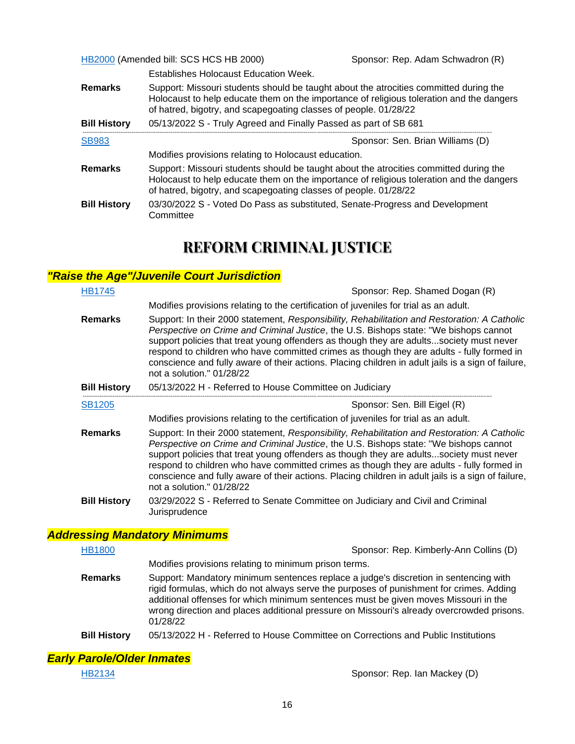[HB2000](https://house.mo.gov/Bill.aspx?bill=HB2000&year=2022&code=R) (Amended bill: SCS HCS HB 2000) Sponsor: Rep. Adam Schwadron (R)

|                     | Establishes Holocaust Education Week.                                                                                                                                                                                                                 |  |  |
|---------------------|-------------------------------------------------------------------------------------------------------------------------------------------------------------------------------------------------------------------------------------------------------|--|--|
| <b>Remarks</b>      | Support: Missouri students should be taught about the atrocities committed during the<br>Holocaust to help educate them on the importance of religious toleration and the dangers<br>of hatred, bigotry, and scapegoating classes of people. 01/28/22 |  |  |
| <b>Bill History</b> | 05/13/2022 S - Truly Agreed and Finally Passed as part of SB 681                                                                                                                                                                                      |  |  |
| <b>SB983</b>        | Sponsor: Sen. Brian Williams (D)                                                                                                                                                                                                                      |  |  |
|                     | Modifies provisions relating to Holocaust education.                                                                                                                                                                                                  |  |  |
| <b>Remarks</b>      | Support: Missouri students should be taught about the atrocities committed during the<br>Holocaust to help educate them on the importance of religious toleration and the dangers<br>of hatred, bigotry, and scapegoating classes of people. 01/28/22 |  |  |
| <b>Bill History</b> | 03/30/2022 S - Voted Do Pass as substituted, Senate-Progress and Development<br>Committee                                                                                                                                                             |  |  |

## **REFORM CRIMINAL JUSTICE**

### *"Raise the Age"/Juvenile Court Jurisdiction*

| <b>HB1745</b>       | Sponsor: Rep. Shamed Dogan (R)                                                                                                                                                                                                                                                                                                                                                                                                                                                                                   |  |  |
|---------------------|------------------------------------------------------------------------------------------------------------------------------------------------------------------------------------------------------------------------------------------------------------------------------------------------------------------------------------------------------------------------------------------------------------------------------------------------------------------------------------------------------------------|--|--|
|                     | Modifies provisions relating to the certification of juveniles for trial as an adult.                                                                                                                                                                                                                                                                                                                                                                                                                            |  |  |
| <b>Remarks</b>      | Support: In their 2000 statement, Responsibility, Rehabilitation and Restoration: A Catholic<br>Perspective on Crime and Criminal Justice, the U.S. Bishops state: "We bishops cannot<br>support policies that treat young offenders as though they are adultssociety must never<br>respond to children who have committed crimes as though they are adults - fully formed in<br>conscience and fully aware of their actions. Placing children in adult jails is a sign of failure,<br>not a solution." 01/28/22 |  |  |
| <b>Bill History</b> | 05/13/2022 H - Referred to House Committee on Judiciary                                                                                                                                                                                                                                                                                                                                                                                                                                                          |  |  |
| <b>SB1205</b>       | Sponsor: Sen. Bill Eigel (R)                                                                                                                                                                                                                                                                                                                                                                                                                                                                                     |  |  |
|                     | Modifies provisions relating to the certification of juveniles for trial as an adult.                                                                                                                                                                                                                                                                                                                                                                                                                            |  |  |
| <b>Remarks</b>      | Support: In their 2000 statement, Responsibility, Rehabilitation and Restoration: A Catholic<br>Perspective on Crime and Criminal Justice, the U.S. Bishops state: "We bishops cannot<br>support policies that treat young offenders as though they are adultssociety must never<br>respond to children who have committed crimes as though they are adults - fully formed in<br>conscience and fully aware of their actions. Placing children in adult jails is a sign of failure,<br>not a solution." 01/28/22 |  |  |
| <b>Bill History</b> | 03/29/2022 S - Referred to Senate Committee on Judiciary and Civil and Criminal<br>Jurisprudence                                                                                                                                                                                                                                                                                                                                                                                                                 |  |  |

### *Addressing Mandatory Minimums*

| <b>HB1800</b>  | Sponsor: Rep. Kimberly-Ann Collins (D)                                                                                                                                                                                                                                                                                                                                          |  |
|----------------|---------------------------------------------------------------------------------------------------------------------------------------------------------------------------------------------------------------------------------------------------------------------------------------------------------------------------------------------------------------------------------|--|
|                | Modifies provisions relating to minimum prison terms.                                                                                                                                                                                                                                                                                                                           |  |
| <b>Remarks</b> | Support: Mandatory minimum sentences replace a judge's discretion in sentencing with<br>rigid formulas, which do not always serve the purposes of punishment for crimes. Adding<br>additional offenses for which minimum sentences must be given moves Missouri in the<br>wrong direction and places additional pressure on Missouri's already overcrowded prisons.<br>01/28/22 |  |
|                |                                                                                                                                                                                                                                                                                                                                                                                 |  |

**Bill History** 05/13/2022 H - Referred to House Committee on Corrections and Public Institutions

### *Early Parole/Older Inmates*

[HB2134](https://house.mo.gov/Bill.aspx?bill=HB2134&year=2022&code=R) Sponsor: Rep. Ian Mackey (D)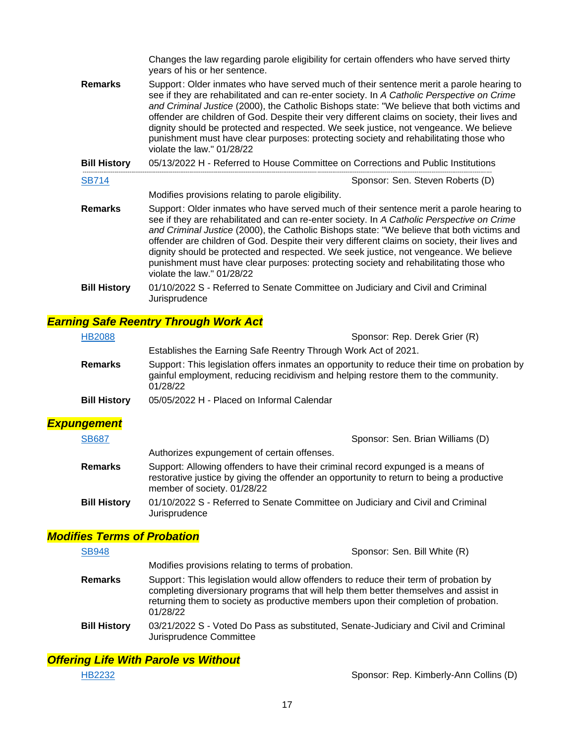|                     | Changes the law regarding parole eligibility for certain offenders who have served thirty<br>years of his or her sentence.                                                                                                                                                                                                                                                                                                                                                                                                                                                                            |  |  |
|---------------------|-------------------------------------------------------------------------------------------------------------------------------------------------------------------------------------------------------------------------------------------------------------------------------------------------------------------------------------------------------------------------------------------------------------------------------------------------------------------------------------------------------------------------------------------------------------------------------------------------------|--|--|
| <b>Remarks</b>      | Support: Older inmates who have served much of their sentence merit a parole hearing to<br>see if they are rehabilitated and can re-enter society. In A Catholic Perspective on Crime<br>and Criminal Justice (2000), the Catholic Bishops state: "We believe that both victims and<br>offender are children of God. Despite their very different claims on society, their lives and<br>dignity should be protected and respected. We seek justice, not vengeance. We believe<br>punishment must have clear purposes: protecting society and rehabilitating those who<br>violate the law." $01/28/22$ |  |  |
| <b>Bill History</b> | 05/13/2022 H - Referred to House Committee on Corrections and Public Institutions                                                                                                                                                                                                                                                                                                                                                                                                                                                                                                                     |  |  |
| <b>SB714</b>        | Sponsor: Sen. Steven Roberts (D)                                                                                                                                                                                                                                                                                                                                                                                                                                                                                                                                                                      |  |  |
|                     | Modifies provisions relating to parole eligibility.                                                                                                                                                                                                                                                                                                                                                                                                                                                                                                                                                   |  |  |
| <b>Remarks</b>      | Support: Older inmates who have served much of their sentence merit a parole hearing to<br>see if they are rehabilitated and can re-enter society. In A Catholic Perspective on Crime<br>and Criminal Justice (2000), the Catholic Bishops state: "We believe that both victims and<br>offender are children of God. Despite their very different claims on society, their lives and<br>dignity should be protected and respected. We seek justice, not vengeance. We believe<br>punishment must have clear purposes: protecting society and rehabilitating those who<br>violate the law." $01/28/22$ |  |  |
| <b>Bill History</b> | 01/10/2022 S - Referred to Senate Committee on Judiciary and Civil and Criminal<br>Jurisprudence                                                                                                                                                                                                                                                                                                                                                                                                                                                                                                      |  |  |

#### *Earning Safe Reentry Through Work Act*

| <b>HB2088</b>       | Sponsor: Rep. Derek Grier (R)                                                                                                                                                                  |  |
|---------------------|------------------------------------------------------------------------------------------------------------------------------------------------------------------------------------------------|--|
|                     | Establishes the Earning Safe Reentry Through Work Act of 2021.                                                                                                                                 |  |
| <b>Remarks</b>      | Support: This legislation offers inmates an opportunity to reduce their time on probation by<br>gainful employment, reducing recidivism and helping restore them to the community.<br>01/28/22 |  |
| <b>Bill History</b> | 05/05/2022 H - Placed on Informal Calendar                                                                                                                                                     |  |
| <b>Expungement</b>  |                                                                                                                                                                                                |  |
| <b>SB687</b>        | Sponsor: Sen. Brian Williams (D)                                                                                                                                                               |  |
|                     | Authorizes expungement of certain offenses.                                                                                                                                                    |  |
| <b>Remarks</b>      | Support: Allowing offenders to have their criminal record expunged is a means of<br>restorative justice by giving the offender an opportunity to return to being a productive                  |  |

- opportunity to return to being a product member of society. 01/28/22
- **Bill History** 01/10/2022 S Referred to Senate Committee on Judiciary and Civil and Criminal Jurisprudence

## *Modifies Terms of Probation*

| <b>SB948</b>        | Sponsor: Sen. Bill White (R)                                                                                                                                                                                                                                                    |  |
|---------------------|---------------------------------------------------------------------------------------------------------------------------------------------------------------------------------------------------------------------------------------------------------------------------------|--|
|                     | Modifies provisions relating to terms of probation.                                                                                                                                                                                                                             |  |
| <b>Remarks</b>      | Support: This legislation would allow offenders to reduce their term of probation by<br>completing diversionary programs that will help them better themselves and assist in<br>returning them to society as productive members upon their completion of probation.<br>01/28/22 |  |
| <b>Bill History</b> | 03/21/2022 S - Voted Do Pass as substituted, Senate-Judiciary and Civil and Criminal<br>Jurisprudence Committee                                                                                                                                                                 |  |

*Offering Life With Parole vs Without*

[HB2232](https://house.mo.gov/Bill.aspx?bill=HB2232&year=2022&code=R) Sponsor: Rep. Kimberly-Ann Collins (D)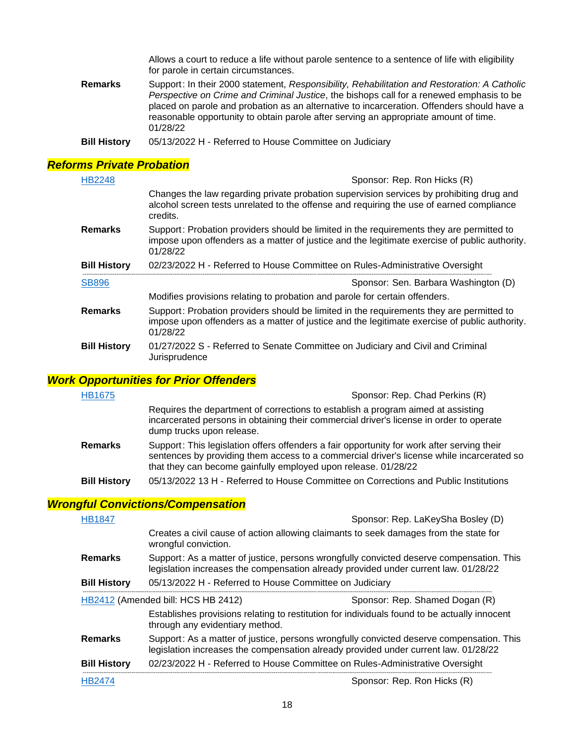Allows a court to reduce a life without parole sentence to a sentence of life with eligibility for parole in certain circumstances.

- **Remarks** Support: In their 2000 statement, *Responsibility, Rehabilitation and Restoration: A Catholic Perspective on Crime and Criminal Justice*, the bishops call for a renewed emphasis to be placed on parole and probation as an alternative to incarceration. Offenders should have a reasonable opportunity to obtain parole after serving an appropriate amount of time. 01/28/22
- **Bill History** 05/13/2022 H Referred to House Committee on Judiciary

#### *Reforms Private Probation*

| <b>HB2248</b>       | Sponsor: Rep. Ron Hicks (R)                                                                                                                                                                           |  |  |
|---------------------|-------------------------------------------------------------------------------------------------------------------------------------------------------------------------------------------------------|--|--|
|                     | Changes the law regarding private probation supervision services by prohibiting drug and<br>alcohol screen tests unrelated to the offense and requiring the use of earned compliance<br>credits.      |  |  |
| <b>Remarks</b>      | Support: Probation providers should be limited in the requirements they are permitted to<br>impose upon offenders as a matter of justice and the legitimate exercise of public authority.<br>01/28/22 |  |  |
| <b>Bill History</b> | 02/23/2022 H - Referred to House Committee on Rules-Administrative Oversight                                                                                                                          |  |  |
| <b>SB896</b>        | Sponsor: Sen. Barbara Washington (D)                                                                                                                                                                  |  |  |
|                     |                                                                                                                                                                                                       |  |  |
|                     | Modifies provisions relating to probation and parole for certain offenders.                                                                                                                           |  |  |
| <b>Remarks</b>      | Support: Probation providers should be limited in the requirements they are permitted to<br>impose upon offenders as a matter of justice and the legitimate exercise of public authority.<br>01/28/22 |  |  |

#### *Work Opportunities for Prior Offenders*

| <b>HB1675</b>       | Sponsor: Rep. Chad Perkins (R)                                                                                                                                                                                                                            |  |
|---------------------|-----------------------------------------------------------------------------------------------------------------------------------------------------------------------------------------------------------------------------------------------------------|--|
|                     | Requires the department of corrections to establish a program aimed at assisting<br>incarcerated persons in obtaining their commercial driver's license in order to operate<br>dump trucks upon release.                                                  |  |
| <b>Remarks</b>      | Support: This legislation offers offenders a fair opportunity for work after serving their<br>sentences by providing them access to a commercial driver's license while incarcerated so<br>that they can become gainfully employed upon release. 01/28/22 |  |
| <b>Bill History</b> | 05/13/2022 13 H - Referred to House Committee on Corrections and Public Institutions                                                                                                                                                                      |  |

#### *Wrongful Convictions/Compensation*

| <b>HB1847</b>                      | Sponsor: Rep. LaKeySha Bosley (D)                                                                                                                                               |                                                                                              |  |
|------------------------------------|---------------------------------------------------------------------------------------------------------------------------------------------------------------------------------|----------------------------------------------------------------------------------------------|--|
|                                    | wrongful conviction.                                                                                                                                                            | Creates a civil cause of action allowing claimants to seek damages from the state for        |  |
| <b>Remarks</b>                     | Support: As a matter of justice, persons wrongfully convicted deserve compensation. This<br>legislation increases the compensation already provided under current law. 01/28/22 |                                                                                              |  |
| <b>Bill History</b>                | 05/13/2022 H - Referred to House Committee on Judiciary                                                                                                                         |                                                                                              |  |
| HB2412 (Amended bill: HCS HB 2412) |                                                                                                                                                                                 | Sponsor: Rep. Shamed Dogan (R)                                                               |  |
|                                    | through any evidentiary method.                                                                                                                                                 | Establishes provisions relating to restitution for individuals found to be actually innocent |  |
| <b>Remarks</b>                     | Support: As a matter of justice, persons wrongfully convicted deserve compensation. This<br>legislation increases the compensation already provided under current law. 01/28/22 |                                                                                              |  |
| <b>Bill History</b>                | 02/23/2022 H - Referred to House Committee on Rules-Administrative Oversight                                                                                                    |                                                                                              |  |
| <b>HB2474</b>                      | Sponsor: Rep. Ron Hicks (R)                                                                                                                                                     |                                                                                              |  |